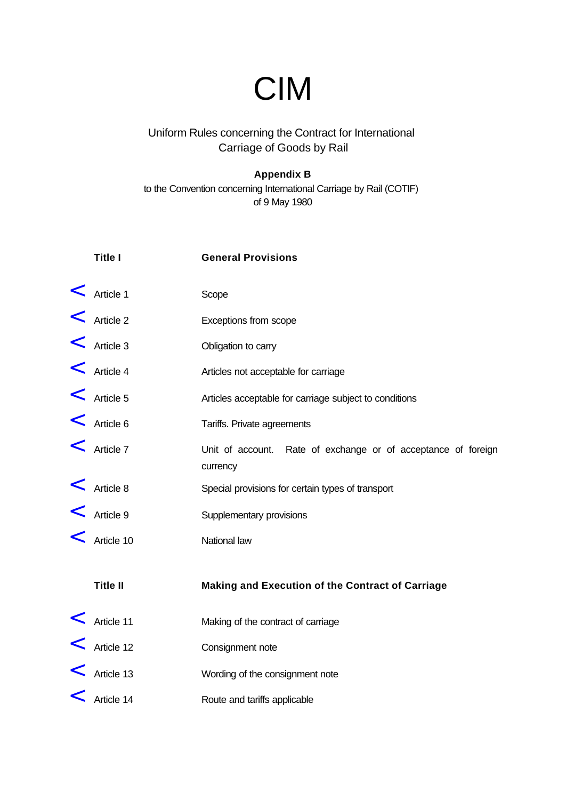# CIM

# Uniform Rules concerning the Contract for International Carriage of Goods by Rail

# **Appendix B**

to the Convention concerning International Carriage by Rail (COTIF) of 9 May 1980

|   | <b>Title I</b>  | <b>General Provisions</b>                                                    |
|---|-----------------|------------------------------------------------------------------------------|
| < | Article 1       | Scope                                                                        |
| < | Article 2       | Exceptions from scope                                                        |
| < | Article 3       | Obligation to carry                                                          |
| < | Article 4       | Articles not acceptable for carriage                                         |
| < | Article 5       | Articles acceptable for carriage subject to conditions                       |
| < | Article 6       | Tariffs. Private agreements                                                  |
| < | Article 7       | Unit of account.<br>Rate of exchange or of acceptance of foreign<br>currency |
|   | Article 8       | Special provisions for certain types of transport                            |
| < | Article 9       | Supplementary provisions                                                     |
| < | Article 10      | National law                                                                 |
|   |                 |                                                                              |
|   | <b>Title II</b> | Making and Execution of the Contract of Carriage                             |
| < | Article 11      | Making of the contract of carriage                                           |
| < | Article 12      | Consignment note                                                             |
| < | Article 13      | Wording of the consignment note                                              |
| < | Article 14      | Route and tariffs applicable                                                 |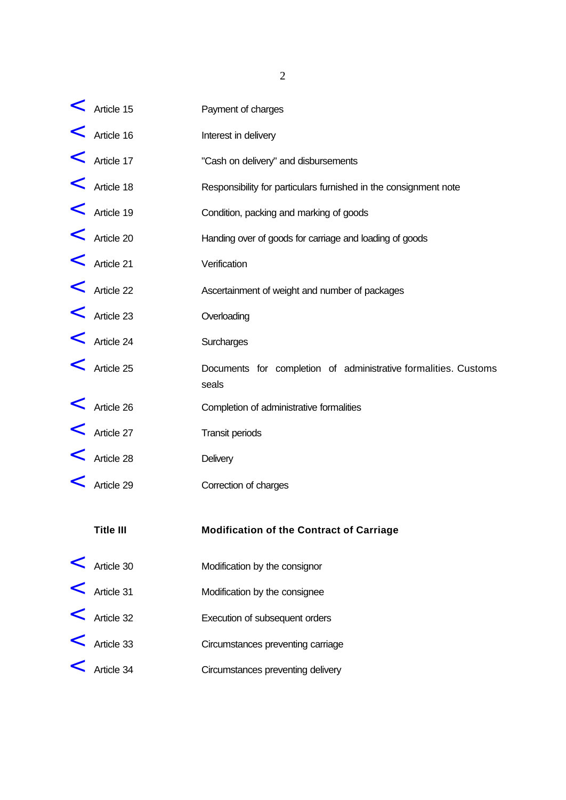- < Article 15 [Payment of charges](#page-13-0) < Article 16 Interest in delivery < Article 17 ["Cash on delivery" and disbursements](#page-15-0) K Article 18 [Responsibility for particulars furnished in the consignment note](#page-15-0) < Article 19 [Condition, packing and marking of goods](#page-16-0) < Article 20 [Handing over of goods for carriage and loading of goods](#page-16-0) < Article 21 [Verification](#page-17-0) < Article 22 [Ascertainment of weight and number of packages](#page-17-0) < Article 23 [Overloading](#page-18-0) < Article 24 [Surcharges](#page-18-0) < Article 25 [Documents for completion of administrative formalities. Customs](#page-19-0) seals < Article 26 [Completion of administrative formalities](#page-19-0) < Article 27 [Transit periods](#page-20-0) < [Article 28](#page-22-0) Delivery < Article 29 [Correction of charges](#page-23-0) **Title III Modification of the Contract of Carriage** < Article 30 [Modification by the consignor](#page-24-0) < Article 31 [Modification by the consignee](#page-25-0) < Article 32 [Execution of subsequent orders](#page-26-0) < Article 33 [Circumstances preventing carriage](#page-26-0)
- < Article 34 Circumstances preventing delivery

2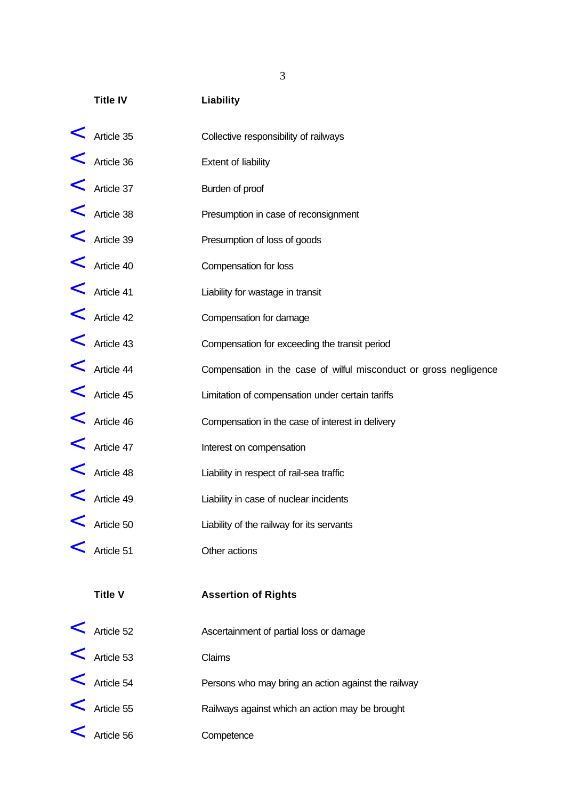**Title IV Liability**

|  | $\blacksquare$ ichilit |  |  |
|--|------------------------|--|--|

| < | Article 35     | Collective responsibility of railways                             |
|---|----------------|-------------------------------------------------------------------|
| く | Article 36     | <b>Extent of liability</b>                                        |
| く | Article 37     | Burden of proof                                                   |
| < | Article 38     | Presumption in case of reconsignment                              |
| < | Article 39     | Presumption of loss of goods                                      |
| く | Article 40     | Compensation for loss                                             |
| く | Article 41     | Liability for wastage in transit                                  |
| < | Article 42     | Compensation for damage                                           |
| < | Article 43     | Compensation for exceeding the transit period                     |
| < | Article 44     | Compensation in the case of wilful misconduct or gross negligence |
| < | Article 45     | Limitation of compensation under certain tariffs                  |
| < | Article 46     | Compensation in the case of interest in delivery                  |
| < | Article 47     | Interest on compensation                                          |
| < | Article 48     | Liability in respect of rail-sea traffic                          |
| < | Article 49     | Liability in case of nuclear incidents                            |
|   | Article 50     | Liability of the railway for its servants                         |
|   | Article 51     | Other actions                                                     |
|   | <b>Title V</b> | <b>Assertion of Rights</b>                                        |
| < | Article 52     | Ascertainment of partial loss or damage                           |
|   | Article 53     | Claims                                                            |
| < | Article 54     | Persons who may bring an action against the railway               |
|   | Article 55     | Railways against which an action may be brought                   |
|   | Article 56     | Competence                                                        |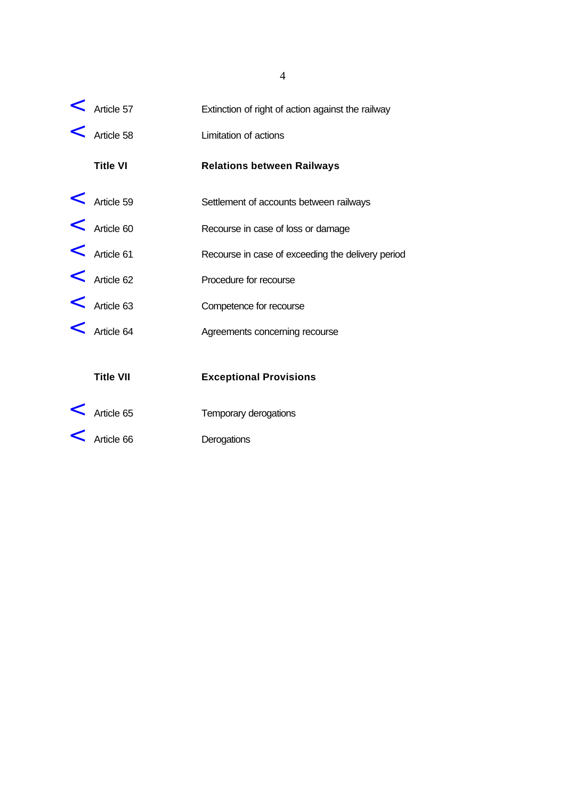- < Article 57 [Extinction of right of action against the railway](#page-37-0) < Article 58 [Limitation of actions](#page-38-0)  **Title VI Relations between Railways** < Article 59 [Settlement of accounts between railways](#page-40-0)  < Article 60 [Recourse in case of loss or damage](#page-40-0) K Article 61 [Recourse in case of exceeding the delivery period](#page-41-0) < Article 62 [Procedure for recourse](#page-41-0)  < Article 63 [Competence for recourse](#page-42-0)  < Article 64 [Agreements concerning recourse](#page-42-0) **Title VII Exceptional Provisions** < Article 65 [Temporary derogations](#page-42-0)
- < Article 66 [Derogations](#page-43-0)

4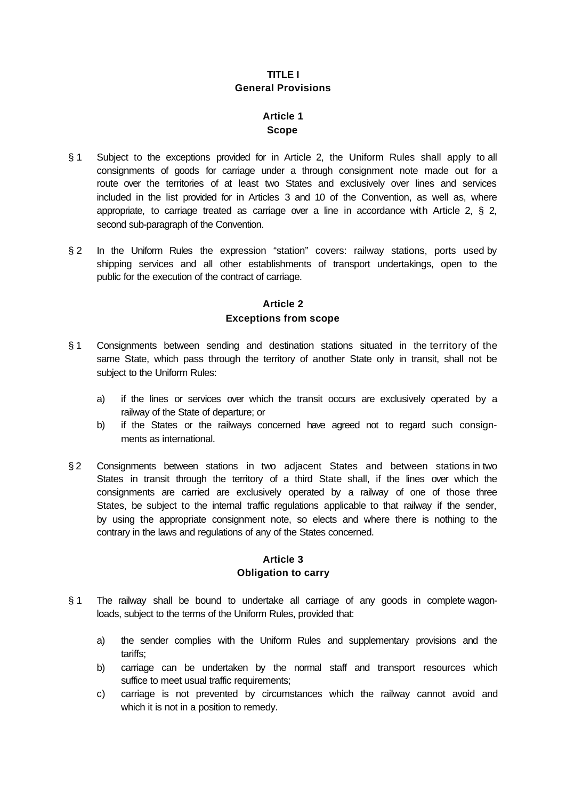# **TITLE I General Provisions**

# **Article 1 Scope**

- <span id="page-4-0"></span>§ 1 Subject to the exceptions provided for in Article 2, the Uniform Rules shall apply to all consignments of goods for carriage under a through consignment note made out for a route over the territories of at least two States and exclusively over lines and services included in the list provided for in Articles 3 and 10 of the Convention, as well as, where appropriate, to carriage treated as carriage over a line in accordance with Article 2, § 2, second sub-paragraph of the Convention.
- § 2 In the Uniform Rules the expression "station" covers: railway stations, ports used by shipping services and all other establishments of transport undertakings, open to the public for the execution of the contract of carriage.

# **Article 2 Exceptions from scope**

- § 1 Consignments between sending and destination stations situated in the territory of the same State, which pass through the territory of another State only in transit, shall not be subject to the Uniform Rules:
	- a) if the lines or services over which the transit occurs are exclusively operated by a railway of the State of departure; or
	- b) if the States or the railways concerned have agreed not to regard such consignments as international.
- § 2 Consignments between stations in two adjacent States and between stations in two States in transit through the territory of a third State shall, if the lines over which the consignments are carried are exclusively operated by a railway of one of those three States, be subject to the internal traffic regulations applicable to that railway if the sender, by using the appropriate consignment note, so elects and where there is nothing to the contrary in the laws and regulations of any of the States concerned.

#### **Article 3 Obligation to carry**

- § 1 The railway shall be bound to undertake all carriage of any goods in complete wagonloads, subject to the terms of the Uniform Rules, provided that:
	- a) the sender complies with the Uniform Rules and supplementary provisions and the tariffs;
	- b) carriage can be undertaken by the normal staff and transport resources which suffice to meet usual traffic requirements;
	- c) carriage is not prevented by circumstances which the railway cannot avoid and which it is not in a position to remedy.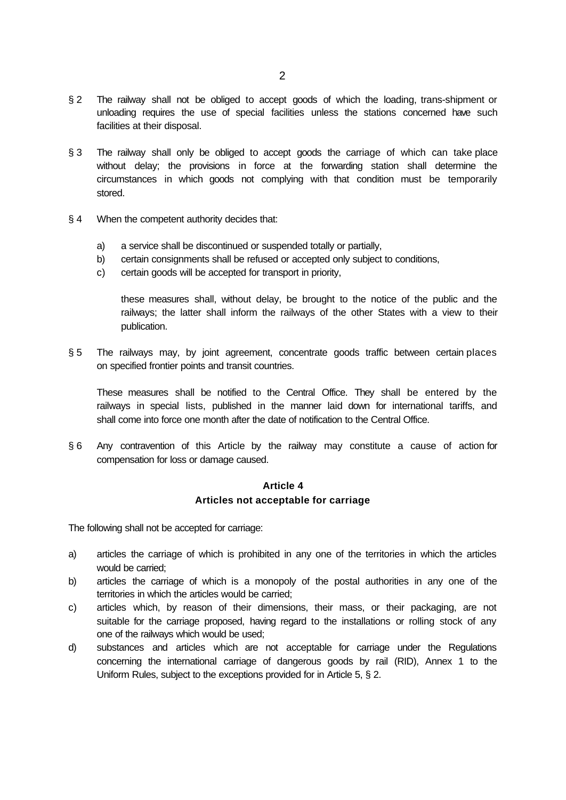- <span id="page-5-0"></span>§ 2 The railway shall not be obliged to accept goods of which the loading, trans-shipment or unloading requires the use of special facilities unless the stations concerned have such facilities at their disposal.
- § 3 The railway shall only be obliged to accept goods the carriage of which can take place without delay; the provisions in force at the forwarding station shall determine the circumstances in which goods not complying with that condition must be temporarily stored.
- § 4 When the competent authority decides that:
	- a) a service shall be discontinued or suspended totally or partially,
	- b) certain consignments shall be refused or accepted only subject to conditions,
	- c) certain goods will be accepted for transport in priority,

these measures shall, without delay, be brought to the notice of the public and the railways; the latter shall inform the railways of the other States with a view to their publication.

§ 5 The railways may, by joint agreement, concentrate goods traffic between certain places on specified frontier points and transit countries.

These measures shall be notified to the Central Office. They shall be entered by the railways in special lists, published in the manner laid down for international tariffs, and shall come into force one month after the date of notification to the Central Office.

§ 6 Any contravention of this Article by the railway may constitute a cause of action for compensation for loss or damage caused.

#### **Article 4 Articles not acceptable for carriage**

The following shall not be accepted for carriage:

- a) articles the carriage of which is prohibited in any one of the territories in which the articles would be carried;
- b) articles the carriage of which is a monopoly of the postal authorities in any one of the territories in which the articles would be carried;
- c) articles which, by reason of their dimensions, their mass, or their packaging, are not suitable for the carriage proposed, having regard to the installations or rolling stock of any one of the railways which would be used;
- d) substances and articles which are not acceptable for carriage under the Regulations concerning the international carriage of dangerous goods by rail (RID), Annex 1 to the Uniform Rules, subject to the exceptions provided for in Article 5, § 2.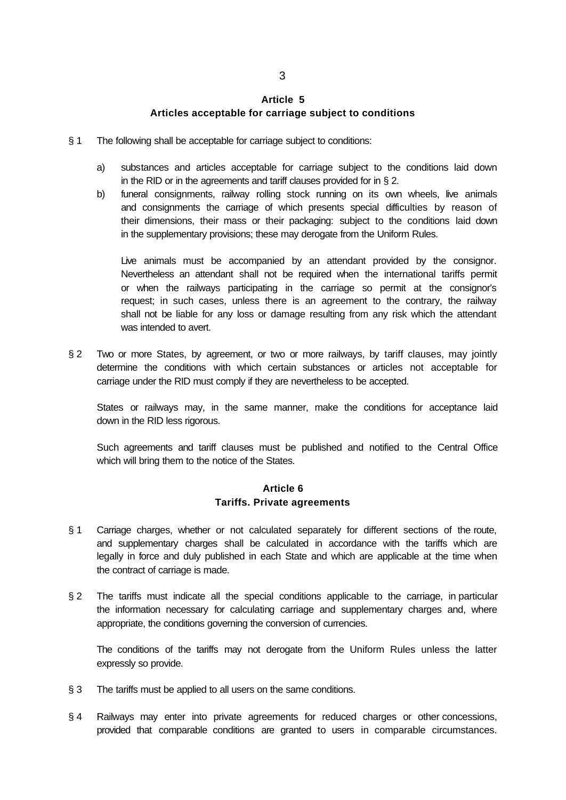#### **Article 5 Articles acceptable for carriage subject to conditions**

- <span id="page-6-0"></span>§ 1 The following shall be acceptable for carriage subject to conditions:
	- a) substances and articles acceptable for carriage subject to the conditions laid down in the RID or in the agreements and tariff clauses provided for in § 2.
	- b) funeral consignments, railway rolling stock running on its own wheels, live animals and consignments the carriage of which presents special difficulties by reason of their dimensions, their mass or their packaging: subject to the conditions laid down in the supplementary provisions; these may derogate from the Uniform Rules.

Live animals must be accompanied by an attendant provided by the consignor. Nevertheless an attendant shall not be required when the international tariffs permit or when the railways participating in the carriage so permit at the consignor's request; in such cases, unless there is an agreement to the contrary, the railway shall not be liable for any loss or damage resulting from any risk which the attendant was intended to avert.

§ 2 Two or more States, by agreement, or two or more railways, by tariff clauses, may jointly determine the conditions with which certain substances or articles not acceptable for carriage under the RID must comply if they are nevertheless to be accepted.

States or railways may, in the same manner, make the conditions for acceptance laid down in the RID less rigorous.

Such agreements and tariff clauses must be published and notified to the Central Office which will bring them to the notice of the States.

#### **Article 6 Tariffs. Private agreements**

- § 1 Carriage charges, whether or not calculated separately for different sections of the route, and supplementary charges shall be calculated in accordance with the tariffs which are legally in force and duly published in each State and which are applicable at the time when the contract of carriage is made.
- § 2 The tariffs must indicate all the special conditions applicable to the carriage, in particular the information necessary for calculating carriage and supplementary charges and, where appropriate, the conditions governing the conversion of currencies.

The conditions of the tariffs may not derogate from the Uniform Rules unless the latter expressly so provide.

- § 3 The tariffs must be applied to all users on the same conditions.
- § 4 Railways may enter into private agreements for reduced charges or other concessions, provided that comparable conditions are granted to users in comparable circumstances.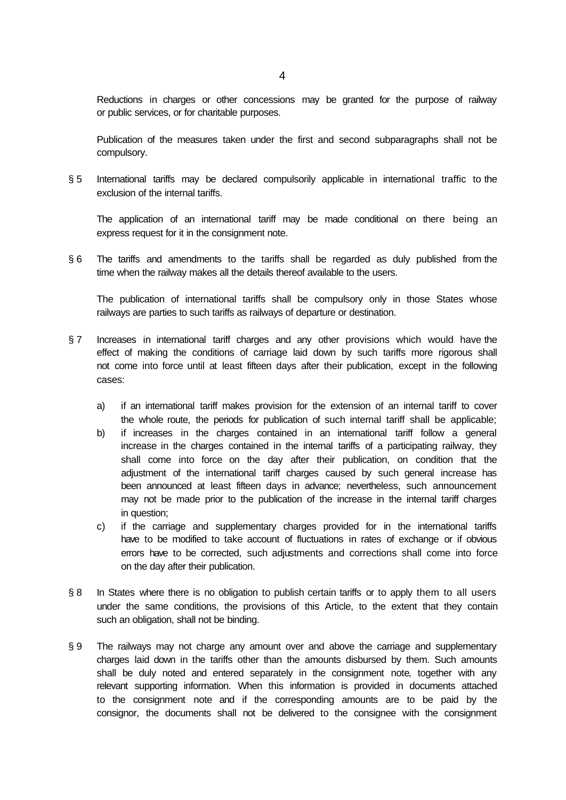Reductions in charges or other concessions may be granted for the purpose of railway or public services, or for charitable purposes.

Publication of the measures taken under the first and second subparagraphs shall not be compulsory.

§ 5 International tariffs may be declared compulsorily applicable in international traffic to the exclusion of the internal tariffs.

The application of an international tariff may be made conditional on there being an express request for it in the consignment note.

§ 6 The tariffs and amendments to the tariffs shall be regarded as duly published from the time when the railway makes all the details thereof available to the users.

The publication of international tariffs shall be compulsory only in those States whose railways are parties to such tariffs as railways of departure or destination.

- § 7 Increases in international tariff charges and any other provisions which would have the effect of making the conditions of carriage laid down by such tariffs more rigorous shall not come into force until at least fifteen days after their publication, except in the following cases:
	- a) if an international tariff makes provision for the extension of an internal tariff to cover the whole route, the periods for publication of such internal tariff shall be applicable;
	- b) if increases in the charges contained in an international tariff follow a general increase in the charges contained in the internal tariffs of a participating railway, they shall come into force on the day after their publication, on condition that the adjustment of the international tariff charges caused by such general increase has been announced at least fifteen days in advance; nevertheless, such announcement may not be made prior to the publication of the increase in the internal tariff charges in question;
	- c) if the carriage and supplementary charges provided for in the international tariffs have to be modified to take account of fluctuations in rates of exchange or if obvious errors have to be corrected, such adjustments and corrections shall come into force on the day after their publication.
- § 8 In States where there is no obligation to publish certain tariffs or to apply them to all users under the same conditions, the provisions of this Article, to the extent that they contain such an obligation, shall not be binding.
- § 9 The railways may not charge any amount over and above the carriage and supplementary charges laid down in the tariffs other than the amounts disbursed by them. Such amounts shall be duly noted and entered separately in the consignment note, together with any relevant supporting information. When this information is provided in documents attached to the consignment note and if the corresponding amounts are to be paid by the consignor, the documents shall not be delivered to the consignee with the consignment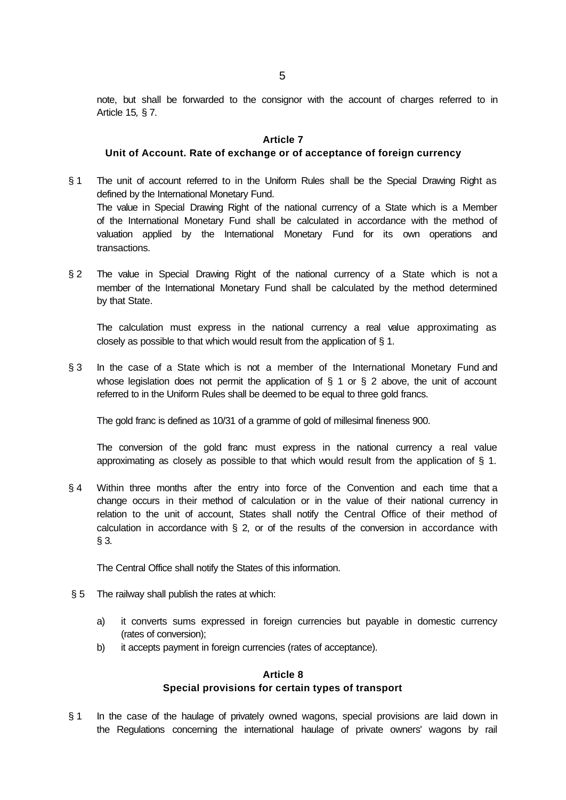<span id="page-8-0"></span>note, but shall be forwarded to the consignor with the account of charges referred to in Article 15*,* § 7.

#### **Article 7**

#### **Unit of Account. Rate of exchange or of acceptance of foreign currency**

- § 1 The unit of account referred to in the Uniform Rules shall be the Special Drawing Right as defined by the International Monetary Fund. The value in Special Drawing Right of the national currency of a State which is a Member of the International Monetary Fund shall be calculated in accordance with the method of valuation applied by the International Monetary Fund for its own operations and transactions.
- § 2 The value in Special Drawing Right of the national currency of a State which is not a member of the International Monetary Fund shall be calculated by the method determined by that State.

The calculation must express in the national currency a real value approximating as closely as possible to that which would result from the application of § 1.

§ 3 In the case of a State which is not a member of the International Monetary Fund and whose legislation does not permit the application of  $\S$  1 or  $\S$  2 above, the unit of account referred to in the Uniform Rules shall be deemed to be equal to three gold francs.

The gold franc is defined as 10/31 of a gramme of gold of millesimal fineness 900.

The conversion of the gold franc must express in the national currency a real value approximating as closely as possible to that which would result from the application of § 1.

§ 4 Within three months after the entry into force of the Convention and each time that a change occurs in their method of calculation or in the value of their national currency in relation to the unit of account, States shall notify the Central Office of their method of calculation in accordance with § 2, or of the results of the conversion in accordance with § 3.

The Central Office shall notify the States of this information.

- § 5 The railway shall publish the rates at which:
	- a) it converts sums expressed in foreign currencies but payable in domestic currency (rates of conversion);
	- b) it accepts payment in foreign currencies (rates of acceptance).

#### **Article 8**

#### **Special provisions for certain types of transport**

§ 1 In the case of the haulage of privately owned wagons, special provisions are laid down in the Regulations concerning the international haulage of private owners' wagons by rail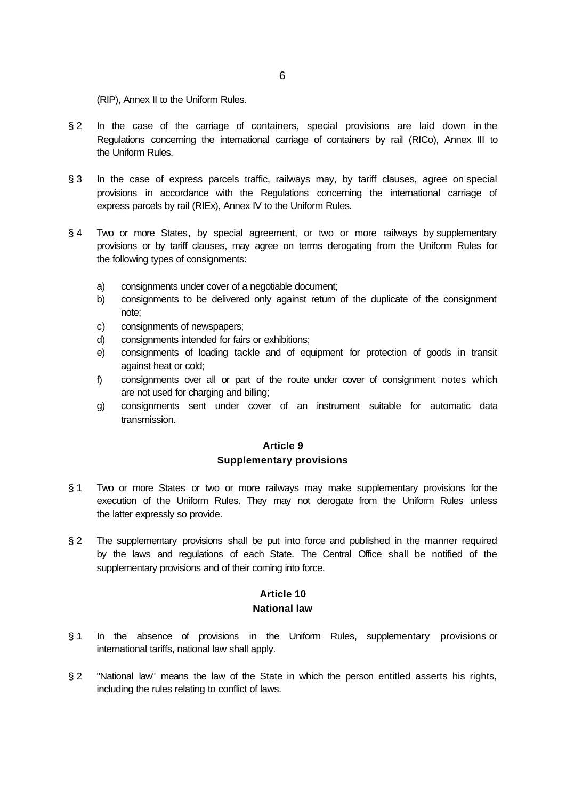<span id="page-9-0"></span>(RIP), Annex II to the Uniform Rules.

- § 2 In the case of the carriage of containers, special provisions are laid down in the Regulations concerning the international carriage of containers by rail (RICo), Annex III to the Uniform Rules.
- § 3 In the case of express parcels traffic, railways may, by tariff clauses, agree on special provisions in accordance with the Regulations concerning the international carriage of express parcels by rail (RIEx), Annex IV to the Uniform Rules.
- § 4 Two or more States, by special agreement, or two or more railways by supplementary provisions or by tariff clauses, may agree on terms derogating from the Uniform Rules for the following types of consignments:
	- a) consignments under cover of a negotiable document;
	- b) consignments to be delivered only against return of the duplicate of the consignment note;
	- c) consignments of newspapers;
	- d) consignments intended for fairs or exhibitions;
	- e) consignments of loading tackle and of equipment for protection of goods in transit against heat or cold;
	- f) consignments over all or part of the route under cover of consignment notes which are not used for charging and billing;
	- g) consignments sent under cover of an instrument suitable for automatic data transmission.

# **Article 9 Supplementary provisions**

- § 1 Two or more States or two or more railways may make supplementary provisions for the execution of the Uniform Rules. They may not derogate from the Uniform Rules unless the latter expressly so provide.
- § 2 The supplementary provisions shall be put into force and published in the manner required by the laws and regulations of each State. The Central Office shall be notified of the supplementary provisions and of their coming into force.

# **Article 10**

#### **National law**

- § 1 In the absence of provisions in the Uniform Rules, supplementary provisions or international tariffs, national law shall apply.
- § 2 "National law" means the law of the State in which the person entitled asserts his rights, including the rules relating to conflict of laws.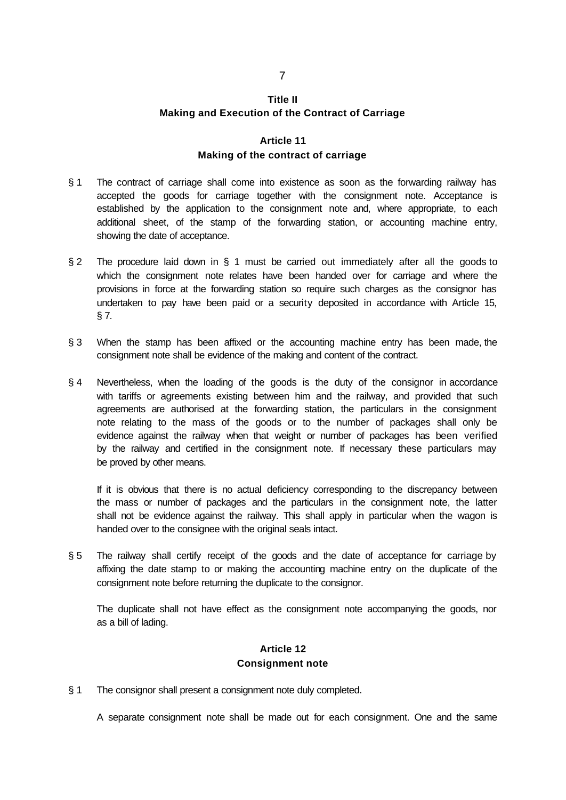#### <span id="page-10-0"></span>**Title II Making and Execution of the Contract of Carriage**

#### **Article 11 Making of the contract of carriage**

- § 1 The contract of carriage shall come into existence as soon as the forwarding railway has accepted the goods for carriage together with the consignment note. Acceptance is established by the application to the consignment note and, where appropriate, to each additional sheet, of the stamp of the forwarding station, or accounting machine entry, showing the date of acceptance.
- § 2 The procedure laid down in § 1 must be carried out immediately after all the goods to which the consignment note relates have been handed over for carriage and where the provisions in force at the forwarding station so require such charges as the consignor has undertaken to pay have been paid or a security deposited in accordance with Article 15, § 7.
- § 3 When the stamp has been affixed or the accounting machine entry has been made, the consignment note shall be evidence of the making and content of the contract.
- § 4 Nevertheless, when the loading of the goods is the duty of the consignor in accordance with tariffs or agreements existing between him and the railway, and provided that such agreements are authorised at the forwarding station, the particulars in the consignment note relating to the mass of the goods or to the number of packages shall only be evidence against the railway when that weight or number of packages has been verified by the railway and certified in the consignment note. If necessary these particulars may be proved by other means.

If it is obvious that there is no actual deficiency corresponding to the discrepancy between the mass or number of packages and the particulars in the consignment note, the latter shall not be evidence against the railway. This shall apply in particular when the wagon is handed over to the consignee with the original seals intact.

§ 5 The railway shall certify receipt of the goods and the date of acceptance for carriage by affixing the date stamp to or making the accounting machine entry on the duplicate of the consignment note before returning the duplicate to the consignor.

The duplicate shall not have effect as the consignment note accompanying the goods, nor as a bill of lading.

# **Article 12 Consignment note**

§ 1 The consignor shall present a consignment note duly completed.

A separate consignment note shall be made out for each consignment. One and the same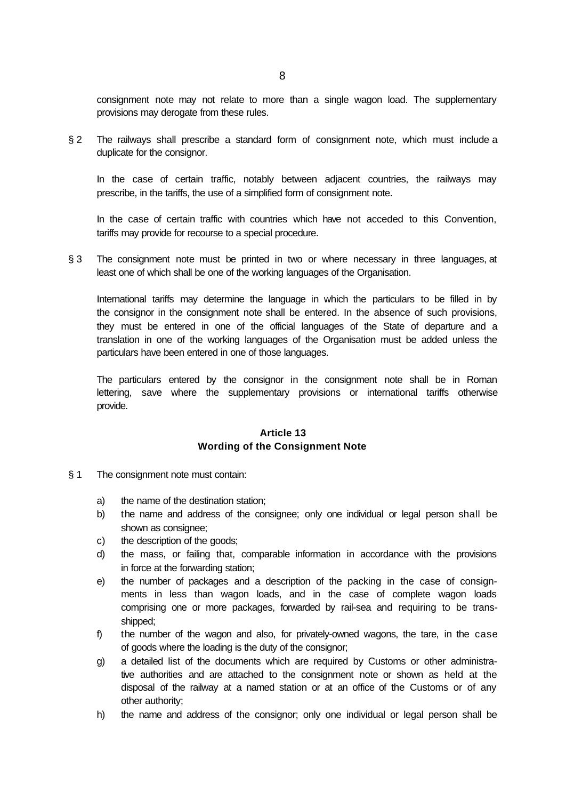<span id="page-11-0"></span>consignment note may not relate to more than a single wagon load. The supplementary provisions may derogate from these rules.

§ 2 The railways shall prescribe a standard form of consignment note, which must include a duplicate for the consignor.

In the case of certain traffic, notably between adjacent countries, the railways may prescribe, in the tariffs, the use of a simplified form of consignment note.

In the case of certain traffic with countries which have not acceded to this Convention, tariffs may provide for recourse to a special procedure.

§ 3 The consignment note must be printed in two or where necessary in three languages, at least one of which shall be one of the working languages of the Organisation.

International tariffs may determine the language in which the particulars to be filled in by the consignor in the consignment note shall be entered. In the absence of such provisions, they must be entered in one of the official languages of the State of departure and a translation in one of the working languages of the Organisation must be added unless the particulars have been entered in one of those languages.

The particulars entered by the consignor in the consignment note shall be in Roman lettering, save where the supplementary provisions or international tariffs otherwise provide.

#### **Article 13 Wording of the Consignment Note**

- § 1 The consignment note must contain:
	- a) the name of the destination station;
	- b) the name and address of the consignee; only one individual or legal person shall be shown as consignee;
	- c) the description of the goods;
	- d) the mass, or failing that, comparable information in accordance with the provisions in force at the forwarding station;
	- e) the number of packages and a description of the packing in the case of consignments in less than wagon loads, and in the case of complete wagon loads comprising one or more packages, forwarded by rail-sea and requiring to be transshipped;
	- f) the number of the wagon and also, for privately-owned wagons, the tare, in the case of goods where the loading is the duty of the consignor;
	- g) a detailed list of the documents which are required by Customs or other administrative authorities and are attached to the consignment note or shown as held at the disposal of the railway at a named station or at an office of the Customs or of any other authority;
	- h) the name and address of the consignor; only one individual or legal person shall be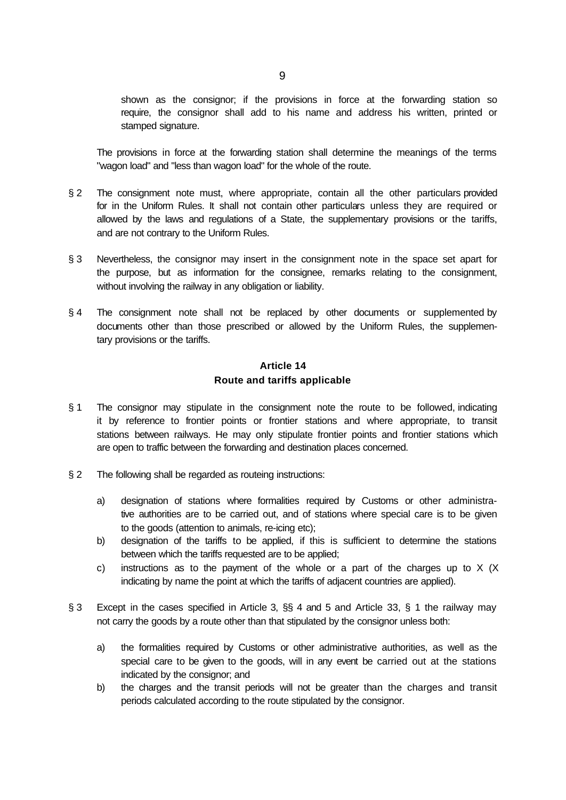<span id="page-12-0"></span>shown as the consignor; if the provisions in force at the forwarding station so require, the consignor shall add to his name and address his written, printed or stamped signature.

The provisions in force at the forwarding station shall determine the meanings of the terms "wagon load" and "less than wagon load" for the whole of the route.

- § 2 The consignment note must, where appropriate, contain all the other particulars provided for in the Uniform Rules. It shall not contain other particulars unless they are required or allowed by the laws and regulations of a State, the supplementary provisions or the tariffs, and are not contrary to the Uniform Rules.
- § 3 Nevertheless, the consignor may insert in the consignment note in the space set apart for the purpose, but as information for the consignee, remarks relating to the consignment, without involving the railway in any obligation or liability.
- § 4 The consignment note shall not be replaced by other documents or supplemented by documents other than those prescribed or allowed by the Uniform Rules, the supplementary provisions or the tariffs.

# **Article 14 Route and tariffs applicable**

- § 1 The consignor may stipulate in the consignment note the route to be followed, indicating it by reference to frontier points or frontier stations and where appropriate, to transit stations between railways. He may only stipulate frontier points and frontier stations which are open to traffic between the forwarding and destination places concerned.
- § 2 The following shall be regarded as routeing instructions:
	- a) designation of stations where formalities required by Customs or other administrative authorities are to be carried out, and of stations where special care is to be given to the goods (attention to animals, re-icing etc);
	- b) designation of the tariffs to be applied, if this is sufficient to determine the stations between which the tariffs requested are to be applied;
	- c) instructions as to the payment of the whole or a part of the charges up to  $X$  (X) indicating by name the point at which the tariffs of adjacent countries are applied).
- § 3 Except in the cases specified in Article 3, §§ 4 and 5 and Article 33, § 1 the railway may not carry the goods by a route other than that stipulated by the consignor unless both:
	- a) the formalities required by Customs or other administrative authorities, as well as the special care to be given to the goods, will in any event be carried out at the stations indicated by the consignor; and
	- b) the charges and the transit periods will not be greater than the charges and transit periods calculated according to the route stipulated by the consignor.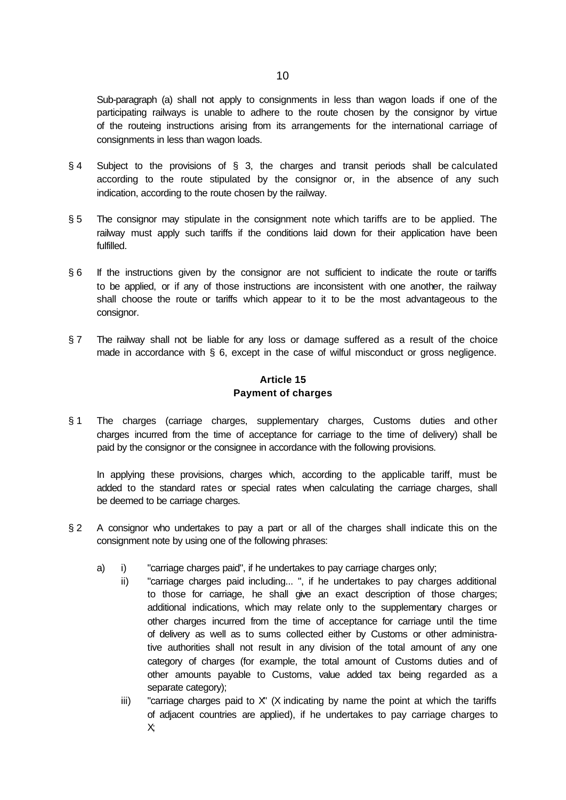<span id="page-13-0"></span>Sub-paragraph (a) shall not apply to consignments in less than wagon loads if one of the participating railways is unable to adhere to the route chosen by the consignor by virtue of the routeing instructions arising from its arrangements for the international carriage of consignments in less than wagon loads.

- § 4 Subject to the provisions of § 3, the charges and transit periods shall be calculated according to the route stipulated by the consignor or, in the absence of any such indication, according to the route chosen by the railway.
- § 5 The consignor may stipulate in the consignment note which tariffs are to be applied. The railway must apply such tariffs if the conditions laid down for their application have been fulfilled.
- § 6 If the instructions given by the consignor are not sufficient to indicate the route or tariffs to be applied, or if any of those instructions are inconsistent with one another, the railway shall choose the route or tariffs which appear to it to be the most advantageous to the consignor.
- § 7 The railway shall not be liable for any loss or damage suffered as a result of the choice made in accordance with § 6, except in the case of wilful misconduct or gross negligence.

#### **Article 15 Payment of charges**

§ 1 The charges (carriage charges, supplementary charges, Customs duties and other charges incurred from the time of acceptance for carriage to the time of delivery) shall be paid by the consignor or the consignee in accordance with the following provisions.

In applying these provisions, charges which, according to the applicable tariff, must be added to the standard rates or special rates when calculating the carriage charges, shall be deemed to be carriage charges.

- § 2 A consignor who undertakes to pay a part or all of the charges shall indicate this on the consignment note by using one of the following phrases:
	- a) i) "carriage charges paid", if he undertakes to pay carriage charges only;
		- ii) "carriage charges paid including... ", if he undertakes to pay charges additional to those for carriage, he shall give an exact description of those charges; additional indications, which may relate only to the supplementary charges or other charges incurred from the time of acceptance for carriage until the time of delivery as well as to sums collected either by Customs or other administrative authorities shall not result in any division of the total amount of any one category of charges (for example, the total amount of Customs duties and of other amounts payable to Customs, value added tax being regarded as a separate category);
			- iii) "carriage charges paid to  $X''$  (X indicating by name the point at which the tariffs of adjacent countries are applied), if he undertakes to pay carriage charges to X;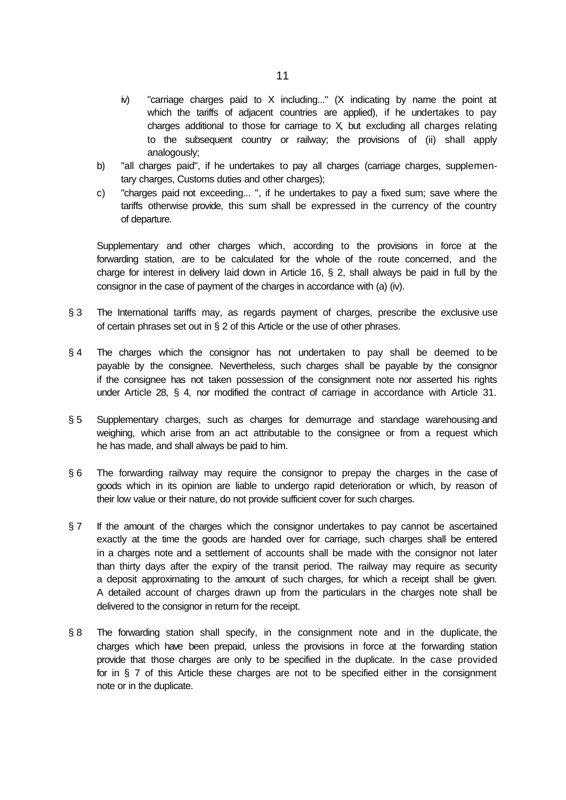- iv) "carriage charges paid to X including..." (X indicating by name the point at which the tariffs of adjacent countries are applied), if he undertakes to pay charges additional to those for carriage to X, but excluding all charges relating to the subsequent country or railway; the provisions of (ii) shall apply analogously;
- b) "all charges paid", if he undertakes to pay all charges (carriage charges, supplementary charges, Customs duties and other charges);
- c) "charges paid not exceeding... ", if he undertakes to pay a fixed sum; save where the tariffs otherwise provide, this sum shall be expressed in the currency of the country of departure.

Supplementary and other charges which, according to the provisions in force at the forwarding station, are to be calculated for the whole of the route concerned, and the charge for interest in delivery laid down in Article 16, § 2, shall always be paid in full by the consignor in the case of payment of the charges in accordance with (a) (iv).

- § 3 The International tariffs may, as regards payment of charges, prescribe the exclusive use of certain phrases set out in § 2 of this Article or the use of other phrases.
- § 4 The charges which the consignor has not undertaken to pay shall be deemed to be payable by the consignee. Nevertheless, such charges shall be payable by the consignor if the consignee has not taken possession of the consignment note nor asserted his rights under Article 28, § 4, nor modified the contract of carriage in accordance with Article 31.
- § 5 Supplementary charges, such as charges for demurrage and standage warehousing and weighing, which arise from an act attributable to the consignee or from a request which he has made, and shall always be paid to him.
- § 6 The forwarding railway may require the consignor to prepay the charges in the case of goods which in its opinion are liable to undergo rapid deterioration or which, by reason of their low value or their nature, do not provide sufficient cover for such charges.
- § 7 If the amount of the charges which the consignor undertakes to pay cannot be ascertained exactly at the time the goods are handed over for carriage, such charges shall be entered in a charges note and a settlement of accounts shall be made with the consignor not later than thirty days after the expiry of the transit period. The railway may require as security a deposit approximating to the amount of such charges, for which a receipt shall be given. A detailed account of charges drawn up from the particulars in the charges note shall be delivered to the consignor in return for the receipt.
- § 8 The forwarding station shall specify, in the consignment note and in the duplicate, the charges which have been prepaid, unless the provisions in force at the forwarding station provide that those charges are only to be specified in the duplicate. In the case provided for in § 7 of this Article these charges are not to be specified either in the consignment note or in the duplicate.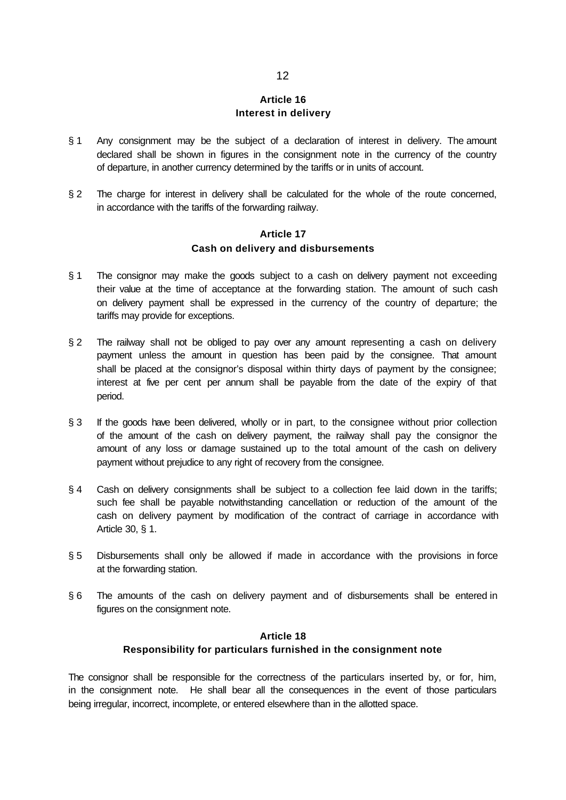#### **Article 16 Interest in delivery**

- <span id="page-15-0"></span>§ 1 Any consignment may be the subject of a declaration of interest in delivery. The amount declared shall be shown in figures in the consignment note in the currency of the country of departure, in another currency determined by the tariffs or in units of account.
- § 2 The charge for interest in delivery shall be calculated for the whole of the route concerned, in accordance with the tariffs of the forwarding railway.

#### **Article 17 Cash on delivery and disbursements**

- § 1 The consignor may make the goods subject to a cash on delivery payment not exceeding their value at the time of acceptance at the forwarding station. The amount of such cash on delivery payment shall be expressed in the currency of the country of departure; the tariffs may provide for exceptions.
- § 2 The railway shall not be obliged to pay over any amount representing a cash on delivery payment unless the amount in question has been paid by the consignee. That amount shall be placed at the consignor's disposal within thirty days of payment by the consignee; interest at five per cent per annum shall be payable from the date of the expiry of that period.
- § 3 If the goods have been delivered, wholly or in part, to the consignee without prior collection of the amount of the cash on delivery payment, the railway shall pay the consignor the amount of any loss or damage sustained up to the total amount of the cash on delivery payment without prejudice to any right of recovery from the consignee.
- § 4 Cash on delivery consignments shall be subject to a collection fee laid down in the tariffs; such fee shall be payable notwithstanding cancellation or reduction of the amount of the cash on delivery payment by modification of the contract of carriage in accordance with Article 30, § 1.
- § 5 Disbursements shall only be allowed if made in accordance with the provisions in force at the forwarding station.
- § 6 The amounts of the cash on delivery payment and of disbursements shall be entered in figures on the consignment note.

#### **Article 18 Responsibility for particulars furnished in the consignment note**

The consignor shall be responsible for the correctness of the particulars inserted by, or for, him, in the consignment note. He shall bear all the consequences in the event of those particulars being irregular, incorrect, incomplete, or entered elsewhere than in the allotted space.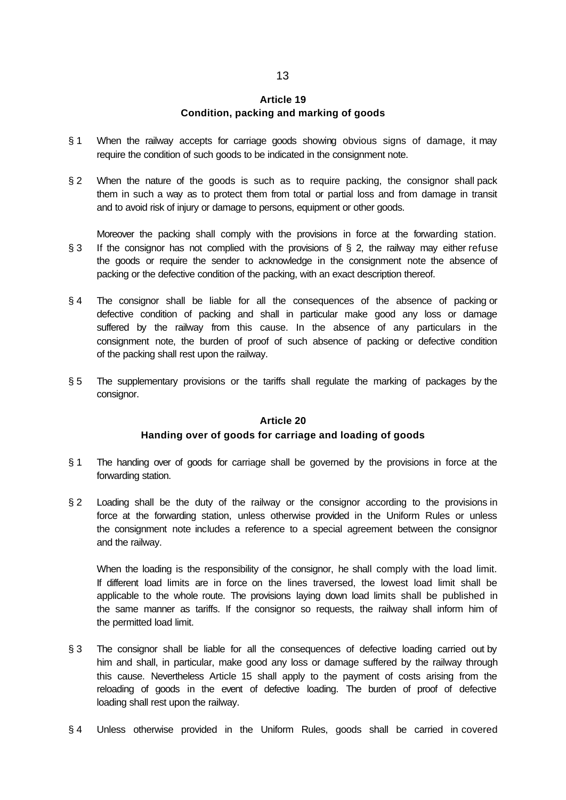#### **Article 19 Condition, packing and marking of goods**

- <span id="page-16-0"></span>§ 1 When the railway accepts for carriage goods showing obvious signs of damage, it may require the condition of such goods to be indicated in the consignment note.
- § 2 When the nature of the goods is such as to require packing, the consignor shall pack them in such a way as to protect them from total or partial loss and from damage in transit and to avoid risk of injury or damage to persons, equipment or other goods.
- Moreover the packing shall comply with the provisions in force at the forwarding station. § 3 If the consignor has not complied with the provisions of § 2, the railway may either refuse the goods or require the sender to acknowledge in the consignment note the absence of packing or the defective condition of the packing, with an exact description thereof.
- § 4 The consignor shall be liable for all the consequences of the absence of packing or defective condition of packing and shall in particular make good any loss or damage suffered by the railway from this cause. In the absence of any particulars in the consignment note, the burden of proof of such absence of packing or defective condition of the packing shall rest upon the railway.
- § 5 The supplementary provisions or the tariffs shall regulate the marking of packages by the consignor.

#### **Article 20**

#### **Handing over of goods for carriage and loading of goods**

- § 1 The handing over of goods for carriage shall be governed by the provisions in force at the forwarding station.
- § 2 Loading shall be the duty of the railway or the consignor according to the provisions in force at the forwarding station, unless otherwise provided in the Uniform Rules or unless the consignment note includes a reference to a special agreement between the consignor and the railway.

When the loading is the responsibility of the consignor, he shall comply with the load limit. If different load limits are in force on the lines traversed, the lowest load limit shall be applicable to the whole route. The provisions laying down load limits shall be published in the same manner as tariffs. If the consignor so requests, the railway shall inform him of the permitted load limit.

- § 3 The consignor shall be liable for all the consequences of defective loading carried out by him and shall, in particular, make good any loss or damage suffered by the railway through this cause. Nevertheless Article 15 shall apply to the payment of costs arising from the reloading of goods in the event of defective loading. The burden of proof of defective loading shall rest upon the railway.
- § 4 Unless otherwise provided in the Uniform Rules, goods shall be carried in covered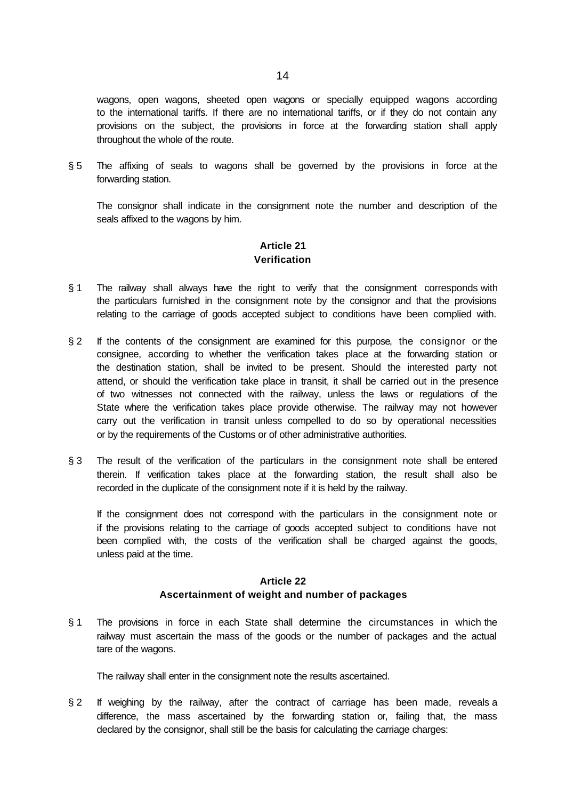<span id="page-17-0"></span>wagons, open wagons, sheeted open wagons or specially equipped wagons according to the international tariffs. If there are no international tariffs, or if they do not contain any provisions on the subject, the provisions in force at the forwarding station shall apply throughout the whole of the route.

§ 5 The affixing of seals to wagons shall be governed by the provisions in force at the forwarding station.

The consignor shall indicate in the consignment note the number and description of the seals affixed to the wagons by him.

#### **Article 21 Verification**

- § 1 The railway shall always have the right to verify that the consignment corresponds with the particulars furnished in the consignment note by the consignor and that the provisions relating to the carriage of goods accepted subject to conditions have been complied with.
- § 2 If the contents of the consignment are examined for this purpose, the consignor or the consignee, according to whether the verification takes place at the forwarding station or the destination station, shall be invited to be present. Should the interested party not attend, or should the verification take place in transit, it shall be carried out in the presence of two witnesses not connected with the railway, unless the laws or regulations of the State where the verification takes place provide otherwise. The railway may not however carry out the verification in transit unless compelled to do so by operational necessities or by the requirements of the Customs or of other administrative authorities.
- § 3 The result of the verification of the particulars in the consignment note shall be entered therein. If verification takes place at the forwarding station, the result shall also be recorded in the duplicate of the consignment note if it is held by the railway.

If the consignment does not correspond with the particulars in the consignment note or if the provisions relating to the carriage of goods accepted subject to conditions have not been complied with, the costs of the verification shall be charged against the goods, unless paid at the time.

# **Article 22 Ascertainment of weight and number of packages**

§ 1 The provisions in force in each State shall determine the circumstances in which the railway must ascertain the mass of the goods or the number of packages and the actual tare of the wagons.

The railway shall enter in the consignment note the results ascertained.

§ 2 If weighing by the railway, after the contract of carriage has been made, reveals a difference, the mass ascertained by the forwarding station or, failing that, the mass declared by the consignor, shall still be the basis for calculating the carriage charges: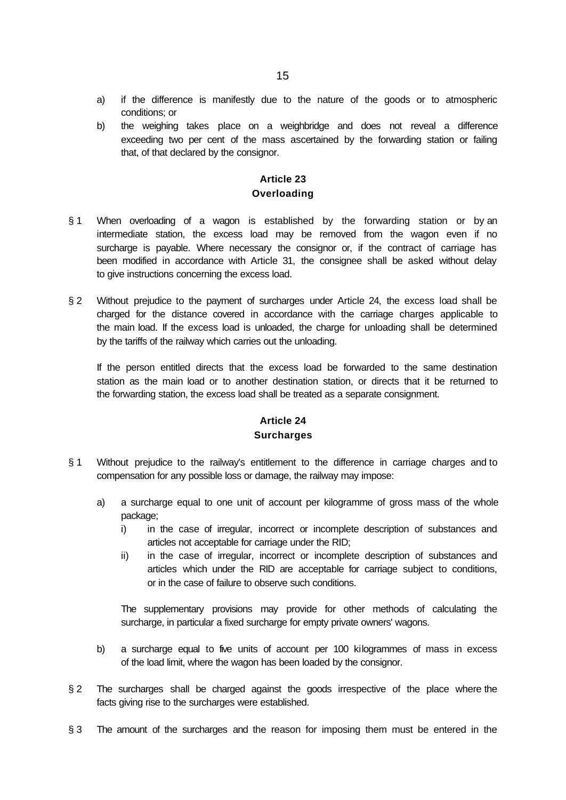- <span id="page-18-0"></span>a) if the difference is manifestly due to the nature of the goods or to atmospheric conditions; or
- b) the weighing takes place on a weighbridge and does not reveal a difference exceeding two per cent of the mass ascertained by the forwarding station or failing that, of that declared by the consignor.

# **Article 23 Overloading**

- § 1 When overloading of a wagon is established by the forwarding station or by an intermediate station, the excess load may be removed from the wagon even if no surcharge is payable. Where necessary the consignor or, if the contract of carriage has been modified in accordance with Article 31, the consignee shall be asked without delay to give instructions concerning the excess load.
- § 2 Without prejudice to the payment of surcharges under Article 24, the excess load shall be charged for the distance covered in accordance with the carriage charges applicable to the main load. If the excess load is unloaded, the charge for unloading shall be determined by the tariffs of the railway which carries out the unloading.

If the person entitled directs that the excess load be forwarded to the same destination station as the main load or to another destination station, or directs that it be returned to the forwarding station, the excess load shall be treated as a separate consignment.

# **Article 24 Surcharges**

- § 1 Without prejudice to the railway's entitlement to the difference in carriage charges and to compensation for any possible loss or damage, the railway may impose:
	- a) a surcharge equal to one unit of account per kilogramme of gross mass of the whole package;
		- i) in the case of irregular, incorrect or incomplete description of substances and articles not acceptable for carriage under the RID;
		- ii) in the case of irregular, incorrect or incomplete description of substances and articles which under the RID are acceptable for carriage subject to conditions, or in the case of failure to observe such conditions.

The supplementary provisions may provide for other methods of calculating the surcharge, in particular a fixed surcharge for empty private owners' wagons.

- b) a surcharge equal to five units of account per 100 kilogrammes of mass in excess of the load limit, where the wagon has been loaded by the consignor.
- § 2 The surcharges shall be charged against the goods irrespective of the place where the facts giving rise to the surcharges were established.
- § 3 The amount of the surcharges and the reason for imposing them must be entered in the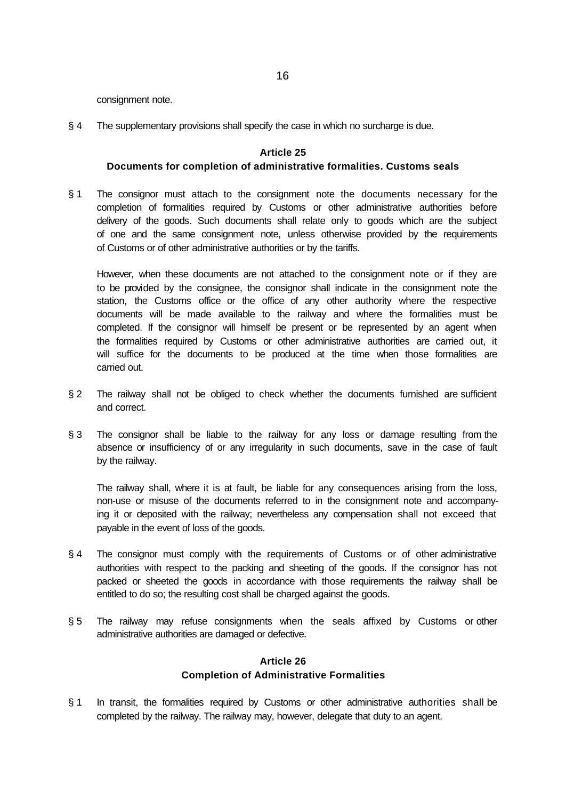<span id="page-19-0"></span>consignment note.

§ 4 The supplementary provisions shall specify the case in which no surcharge is due.

#### **Article 25**

#### **Documents for completion of administrative formalities. Customs seals**

§ 1 The consignor must attach to the consignment note the documents necessary for the completion of formalities required by Customs or other administrative authorities before delivery of the goods. Such documents shall relate only to goods which are the subject of one and the same consignment note, unless otherwise provided by the requirements of Customs or of other administrative authorities or by the tariffs.

However, when these documents are not attached to the consignment note or if they are to be provided by the consignee, the consignor shall indicate in the consignment note the station, the Customs office or the office of any other authority where the respective documents will be made available to the railway and where the formalities must be completed. If the consignor will himself be present or be represented by an agent when the formalities required by Customs or other administrative authorities are carried out, it will suffice for the documents to be produced at the time when those formalities are carried out.

- § 2 The railway shall not be obliged to check whether the documents furnished are sufficient and correct.
- § 3 The consignor shall be liable to the railway for any loss or damage resulting from the absence or insufficiency of or any irregularity in such documents, save in the case of fault by the railway.

The railway shall, where it is at fault, be liable for any consequences arising from the loss, non-use or misuse of the documents referred to in the consignment note and accompanying it or deposited with the railway; nevertheless any compensation shall not exceed that payable in the event of loss of the goods.

- § 4 The consignor must comply with the requirements of Customs or of other administrative authorities with respect to the packing and sheeting of the goods. If the consignor has not packed or sheeted the goods in accordance with those requirements the railway shall be entitled to do so; the resulting cost shall be charged against the goods.
- § 5 The railway may refuse consignments when the seals affixed by Customs or other administrative authorities are damaged or defective.

# **Article 26 Completion of Administrative Formalities**

§ 1 In transit, the formalities required by Customs or other administrative authorities shall be completed by the railway. The railway may, however, delegate that duty to an agent.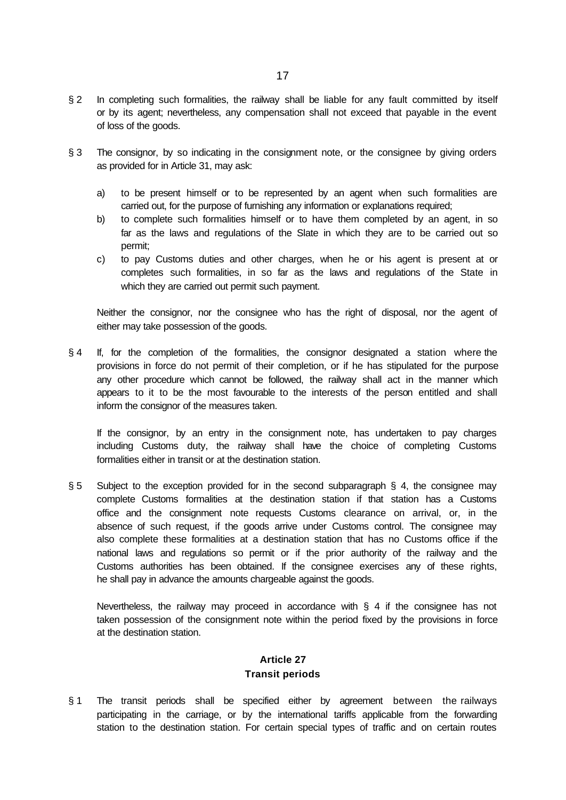- <span id="page-20-0"></span>§ 2 In completing such formalities, the railway shall be liable for any fault committed by itself or by its agent; nevertheless, any compensation shall not exceed that payable in the event of loss of the goods.
- § 3 The consignor, by so indicating in the consignment note, or the consignee by giving orders as provided for in Article 31, may ask:
	- a) to be present himself or to be represented by an agent when such formalities are carried out, for the purpose of furnishing any information or explanations required;
	- b) to complete such formalities himself or to have them completed by an agent, in so far as the laws and regulations of the Slate in which they are to be carried out so permit;
	- c) to pay Customs duties and other charges, when he or his agent is present at or completes such formalities, in so far as the laws and regulations of the State in which they are carried out permit such payment.

Neither the consignor, nor the consignee who has the right of disposal, nor the agent of either may take possession of the goods.

§ 4 If, for the completion of the formalities, the consignor designated a station where the provisions in force do not permit of their completion, or if he has stipulated for the purpose any other procedure which cannot be followed, the railway shall act in the manner which appears to it to be the most favourable to the interests of the person entitled and shall inform the consignor of the measures taken.

If the consignor, by an entry in the consignment note, has undertaken to pay charges including Customs duty, the railway shall have the choice of completing Customs formalities either in transit or at the destination station.

§ 5 Subject to the exception provided for in the second subparagraph § 4, the consignee may complete Customs formalities at the destination station if that station has a Customs office and the consignment note requests Customs clearance on arrival, or, in the absence of such request, if the goods arrive under Customs control. The consignee may also complete these formalities at a destination station that has no Customs office if the national laws and regulations so permit or if the prior authority of the railway and the Customs authorities has been obtained. If the consignee exercises any of these rights, he shall pay in advance the amounts chargeable against the goods.

Nevertheless, the railway may proceed in accordance with  $\S$  4 if the consignee has not taken possession of the consignment note within the period fixed by the provisions in force at the destination station.

# **Article 27 Transit periods**

§ 1 The transit periods shall be specified either by agreement between the railways participating in the carriage, or by the international tariffs applicable from the forwarding station to the destination station. For certain special types of traffic and on certain routes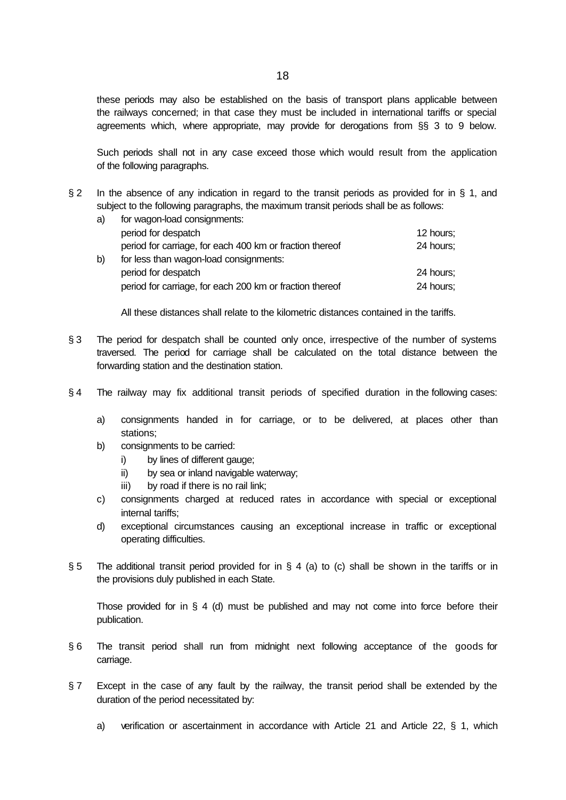these periods may also be established on the basis of transport plans applicable between the railways concerned; in that case they must be included in international tariffs or special agreements which, where appropriate, may provide for derogations from §§ 3 to 9 below.

Such periods shall not in any case exceed those which would result from the application of the following paragraphs.

§ 2 In the absence of any indication in regard to the transit periods as provided for in § 1, and subject to the following paragraphs, the maximum transit periods shall be as follows:

| a) | for wagon-load consignments:                             |           |  |  |  |
|----|----------------------------------------------------------|-----------|--|--|--|
|    | period for despatch                                      | 12 hours; |  |  |  |
|    | period for carriage, for each 400 km or fraction thereof | 24 hours; |  |  |  |
| b) | for less than wagon-load consignments:                   |           |  |  |  |
|    | period for despatch                                      | 24 hours; |  |  |  |
|    | period for carriage, for each 200 km or fraction thereof | 24 hours; |  |  |  |

All these distances shall relate to the kilometric distances contained in the tariffs.

- § 3 The period for despatch shall be counted only once, irrespective of the number of systems traversed. The period for carriage shall be calculated on the total distance between the forwarding station and the destination station.
- § 4 The railway may fix additional transit periods of specified duration in the following cases:
	- a) consignments handed in for carriage, or to be delivered, at places other than stations;
	- b) consignments to be carried:
		- i) by lines of different gauge;
		- ii) by sea or inland navigable waterway;
		- iii) by road if there is no rail link;
	- c) consignments charged at reduced rates in accordance with special or exceptional internal tariffs;
	- d) exceptional circumstances causing an exceptional increase in traffic or exceptional operating difficulties.
- § 5 The additional transit period provided for in § 4 (a) to (c) shall be shown in the tariffs or in the provisions duly published in each State.

Those provided for in  $\S$  4 (d) must be published and may not come into force before their publication.

- § 6 The transit period shall run from midnight next following acceptance of the goods for carriage.
- § 7 Except in the case of any fault by the railway, the transit period shall be extended by the duration of the period necessitated by:
	- a) verification or ascertainment in accordance with Article 21 and Article 22, § 1, which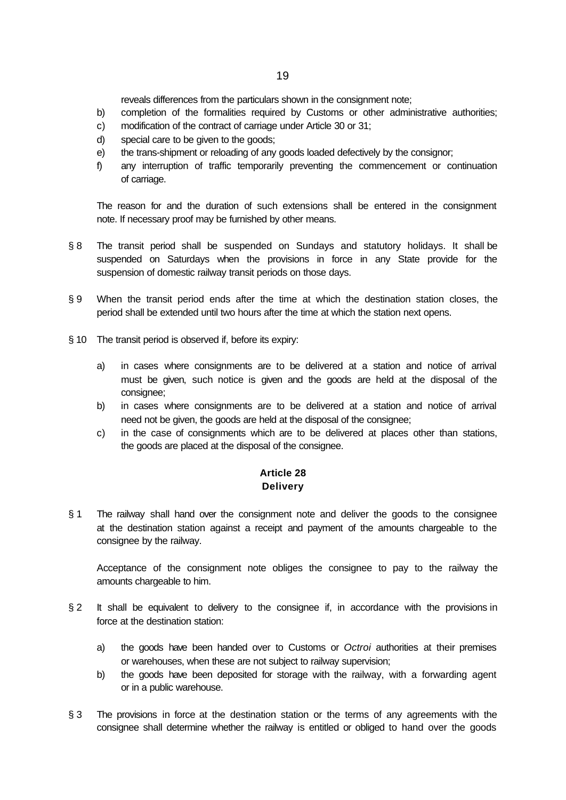reveals differences from the particulars shown in the consignment note;

- <span id="page-22-0"></span>b) completion of the formalities required by Customs or other administrative authorities;
- c) modification of the contract of carriage under Article 30 or 31;
- d) special care to be given to the goods;
- e) the trans-shipment or reloading of any goods loaded defectively by the consignor;
- f) any interruption of traffic temporarily preventing the commencement or continuation of carriage.

The reason for and the duration of such extensions shall be entered in the consignment note. If necessary proof may be furnished by other means.

- § 8 The transit period shall be suspended on Sundays and statutory holidays. It shall be suspended on Saturdays when the provisions in force in any State provide for the suspension of domestic railway transit periods on those days.
- § 9 When the transit period ends after the time at which the destination station closes, the period shall be extended until two hours after the time at which the station next opens.
- § 10 The transit period is observed if, before its expiry:
	- a) in cases where consignments are to be delivered at a station and notice of arrival must be given, such notice is given and the goods are held at the disposal of the consignee;
	- b) in cases where consignments are to be delivered at a station and notice of arrival need not be given, the goods are held at the disposal of the consignee;
	- c) in the case of consignments which are to be delivered at places other than stations, the goods are placed at the disposal of the consignee.

# **Article 28 Delivery**

§ 1 The railway shall hand over the consignment note and deliver the goods to the consignee at the destination station against a receipt and payment of the amounts chargeable to the consignee by the railway.

Acceptance of the consignment note obliges the consignee to pay to the railway the amounts chargeable to him.

- § 2 It shall be equivalent to delivery to the consignee if, in accordance with the provisions in force at the destination station:
	- a) the goods have been handed over to Customs or *Octroi* authorities at their premises or warehouses, when these are not subject to railway supervision;
	- b) the goods have been deposited for storage with the railway, with a forwarding agent or in a public warehouse.
- § 3 The provisions in force at the destination station or the terms of any agreements with the consignee shall determine whether the railway is entitled or obliged to hand over the goods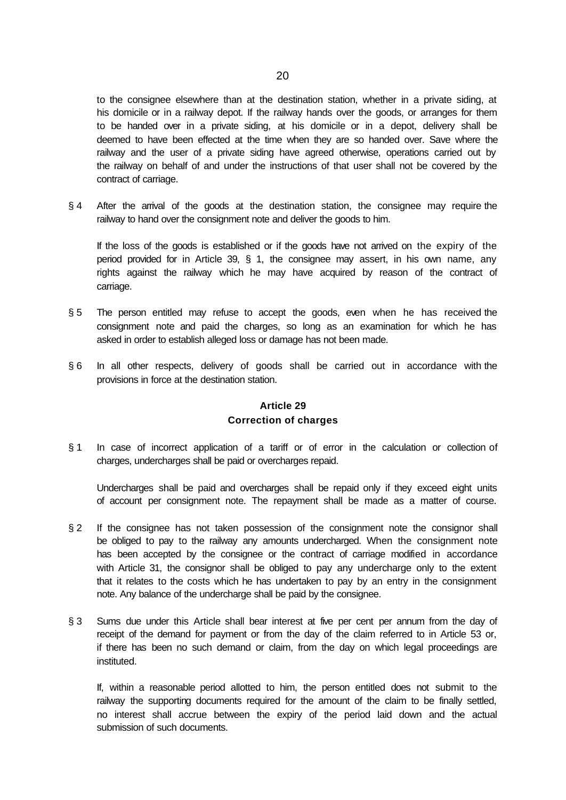<span id="page-23-0"></span>to the consignee elsewhere than at the destination station, whether in a private siding, at his domicile or in a railway depot. If the railway hands over the goods, or arranges for them to be handed over in a private siding, at his domicile or in a depot, delivery shall be deemed to have been effected at the time when they are so handed over. Save where the railway and the user of a private siding have agreed otherwise, operations carried out by the railway on behalf of and under the instructions of that user shall not be covered by the contract of carriage.

§ 4 After the arrival of the goods at the destination station, the consignee may require the railway to hand over the consignment note and deliver the goods to him.

If the loss of the goods is established or if the goods have not arrived on the expiry of the period provided for in Article 39, § 1, the consignee may assert, in his own name, any rights against the railway which he may have acquired by reason of the contract of carriage.

- § 5 The person entitled may refuse to accept the goods, even when he has received the consignment note and paid the charges, so long as an examination for which he has asked in order to establish alleged loss or damage has not been made.
- § 6 In all other respects, delivery of goods shall be carried out in accordance with the provisions in force at the destination station.

# **Article 29 Correction of charges**

§ 1 In case of incorrect application of a tariff or of error in the calculation or collection of charges, undercharges shall be paid or overcharges repaid.

Undercharges shall be paid and overcharges shall be repaid only if they exceed eight units of account per consignment note. The repayment shall be made as a matter of course.

- § 2 If the consignee has not taken possession of the consignment note the consignor shall be obliged to pay to the railway any amounts undercharged. When the consignment note has been accepted by the consignee or the contract of carriage modified in accordance with Article 31, the consignor shall be obliged to pay any undercharge only to the extent that it relates to the costs which he has undertaken to pay by an entry in the consignment note. Any balance of the undercharge shall be paid by the consignee.
- § 3 Sums due under this Article shall bear interest at five per cent per annum from the day of receipt of the demand for payment or from the day of the claim referred to in Article 53 or, if there has been no such demand or claim, from the day on which legal proceedings are instituted.

If, within a reasonable period allotted to him, the person entitled does not submit to the railway the supporting documents required for the amount of the claim to be finally settled, no interest shall accrue between the expiry of the period laid down and the actual submission of such documents.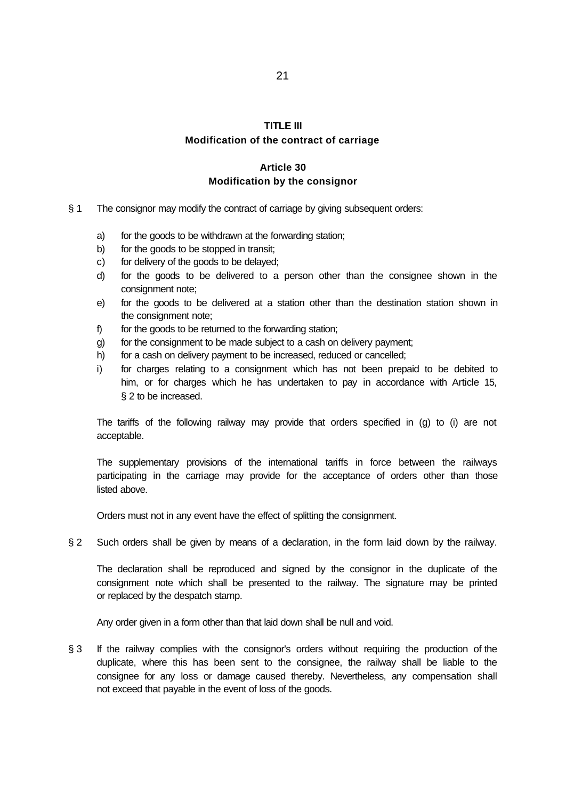#### **TITLE III**

#### **Modification of the contract of carriage**

#### **Article 30 Modification by the consignor**

- <span id="page-24-0"></span>§ 1 The consignor may modify the contract of carriage by giving subsequent orders:
	- a) for the goods to be withdrawn at the forwarding station;
	- b) for the goods to be stopped in transit;
	- c) for delivery of the goods to be delayed;
	- d) for the goods to be delivered to a person other than the consignee shown in the consignment note;
	- e) for the goods to be delivered at a station other than the destination station shown in the consignment note;
	- f) for the goods to be returned to the forwarding station;
	- g) for the consignment to be made subject to a cash on delivery payment;
	- h) for a cash on delivery payment to be increased, reduced or cancelled;
	- i) for charges relating to a consignment which has not been prepaid to be debited to him, or for charges which he has undertaken to pay in accordance with Article 15, § 2 to be increased.

The tariffs of the following railway may provide that orders specified in (g) to (i) are not acceptable.

The supplementary provisions of the international tariffs in force between the railways participating in the carriage may provide for the acceptance of orders other than those listed above.

Orders must not in any event have the effect of splitting the consignment.

§ 2 Such orders shall be given by means of a declaration, in the form laid down by the railway.

The declaration shall be reproduced and signed by the consignor in the duplicate of the consignment note which shall be presented to the railway. The signature may be printed or replaced by the despatch stamp.

Any order given in a form other than that laid down shall be null and void.

§ 3 If the railway complies with the consignor's orders without requiring the production of the duplicate, where this has been sent to the consignee, the railway shall be liable to the consignee for any loss or damage caused thereby. Nevertheless, any compensation shall not exceed that payable in the event of loss of the goods.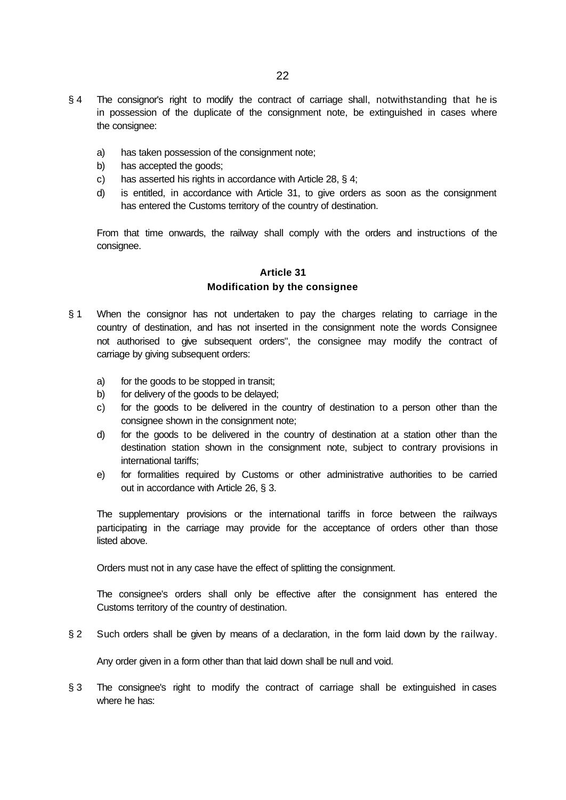- <span id="page-25-0"></span>§ 4 The consignor's right to modify the contract of carriage shall, notwithstanding that he is in possession of the duplicate of the consignment note, be extinguished in cases where the consignee:
	- a) has taken possession of the consignment note;
	- b) has accepted the goods;
	- c) has asserted his rights in accordance with Article 28, § 4;
	- d) is entitled, in accordance with Article 31, to give orders as soon as the consignment has entered the Customs territory of the country of destination.

From that time onwards, the railway shall comply with the orders and instructions of the consignee.

## **Article 31 Modification by the consignee**

- § 1 When the consignor has not undertaken to pay the charges relating to carriage in the country of destination, and has not inserted in the consignment note the words Consignee not authorised to give subsequent orders", the consignee may modify the contract of carriage by giving subsequent orders:
	- a) for the goods to be stopped in transit;
	- b) for delivery of the goods to be delayed;
	- c) for the goods to be delivered in the country of destination to a person other than the consignee shown in the consignment note;
	- d) for the goods to be delivered in the country of destination at a station other than the destination station shown in the consignment note, subject to contrary provisions in international tariffs;
	- e) for formalities required by Customs or other administrative authorities to be carried out in accordance with Article 26, § 3.

The supplementary provisions or the international tariffs in force between the railways participating in the carriage may provide for the acceptance of orders other than those listed above.

Orders must not in any case have the effect of splitting the consignment.

The consignee's orders shall only be effective after the consignment has entered the Customs territory of the country of destination.

§ 2 Such orders shall be given by means of a declaration, in the form laid down by the railway.

Any order given in a form other than that laid down shall be null and void.

§ 3 The consignee's right to modify the contract of carriage shall be extinguished in cases where he has: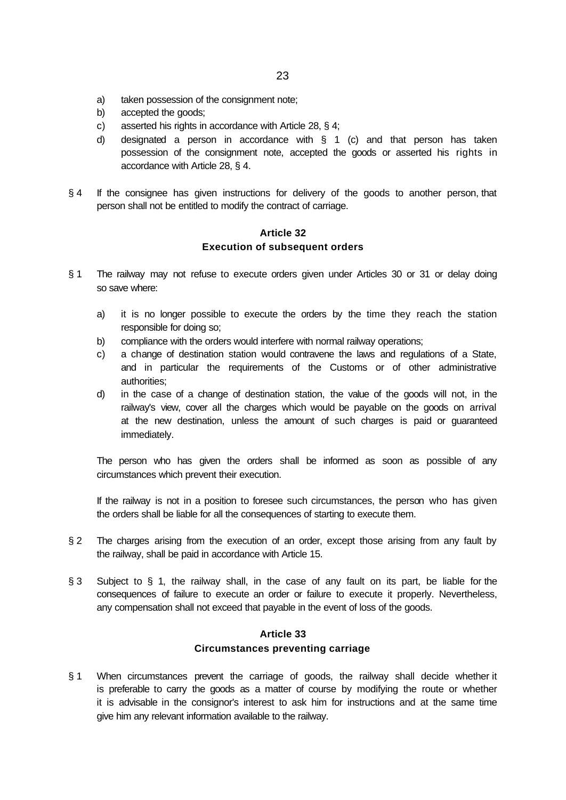- <span id="page-26-0"></span>a) taken possession of the consignment note;
- b) accepted the goods;
- c) asserted his rights in accordance with Article 28, § 4;
- d) designated a person in accordance with § 1 (c) and that person has taken possession of the consignment note, accepted the goods or asserted his rights in accordance with Article 28, § 4.
- § 4 If the consignee has given instructions for delivery of the goods to another person, that person shall not be entitled to modify the contract of carriage.

# **Article 32 Execution of subsequent orders**

- § 1 The railway may not refuse to execute orders given under Articles 30 or 31 or delay doing so save where:
	- a) it is no longer possible to execute the orders by the time they reach the station responsible for doing so;
	- b) compliance with the orders would interfere with normal railway operations;
	- c) a change of destination station would contravene the laws and regulations of a State, and in particular the requirements of the Customs or of other administrative authorities;
	- d) in the case of a change of destination station, the value of the goods will not, in the railway's view, cover all the charges which would be payable on the goods on arrival at the new destination, unless the amount of such charges is paid or guaranteed immediately.

The person who has given the orders shall be informed as soon as possible of any circumstances which prevent their execution.

If the railway is not in a position to foresee such circumstances, the person who has given the orders shall be liable for all the consequences of starting to execute them.

- § 2 The charges arising from the execution of an order, except those arising from any fault by the railway, shall be paid in accordance with Article 15.
- § 3 Subject to § 1, the railway shall, in the case of any fault on its part, be liable for the consequences of failure to execute an order or failure to execute it properly. Nevertheless, any compensation shall not exceed that payable in the event of loss of the goods.

### **Article 33 Circumstances preventing carriage**

§ 1 When circumstances prevent the carriage of goods, the railway shall decide whether it is preferable to carry the goods as a matter of course by modifying the route or whether it is advisable in the consignor's interest to ask him for instructions and at the same time give him any relevant information available to the railway.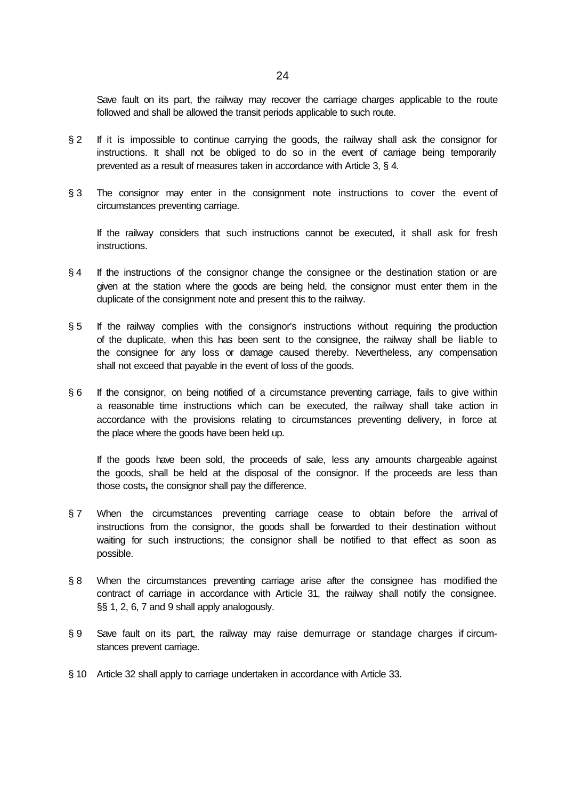Save fault on its part, the railway may recover the carriage charges applicable to the route followed and shall be allowed the transit periods applicable to such route.

- § 2 If it is impossible to continue carrying the goods, the railway shall ask the consignor for instructions. It shall not be obliged to do so in the event of carriage being temporarily prevented as a result of measures taken in accordance with Article 3, § 4.
- § 3 The consignor may enter in the consignment note instructions to cover the event of circumstances preventing carriage.

If the railway considers that such instructions cannot be executed, it shall ask for fresh instructions.

- §4 If the instructions of the consignor change the consignee or the destination station or are given at the station where the goods are being held, the consignor must enter them in the duplicate of the consignment note and present this to the railway.
- § 5 If the railway complies with the consignor's instructions without requiring the production of the duplicate, when this has been sent to the consignee, the railway shall be liable to the consignee for any loss or damage caused thereby. Nevertheless, any compensation shall not exceed that payable in the event of loss of the goods.
- § 6 If the consignor, on being notified of a circumstance preventing carriage, fails to give within a reasonable time instructions which can be executed, the railway shall take action in accordance with the provisions relating to circumstances preventing delivery, in force at the place where the goods have been held up.

If the goods have been sold, the proceeds of sale, less any amounts chargeable against the goods, shall be held at the disposal of the consignor. If the proceeds are less than those costs**,** the consignor shall pay the difference.

- § 7 When the circumstances preventing carriage cease to obtain before the arrival of instructions from the consignor, the goods shall be forwarded to their destination without waiting for such instructions; the consignor shall be notified to that effect as soon as possible.
- § 8 When the circumstances preventing carriage arise after the consignee has modified the contract of carriage in accordance with Article 31, the railway shall notify the consignee. §§ 1, 2, 6, 7 and 9 shall apply analogously.
- § 9 Save fault on its part, the railway may raise demurrage or standage charges if circumstances prevent carriage.
- § 10 Article 32 shall apply to carriage undertaken in accordance with Article 33.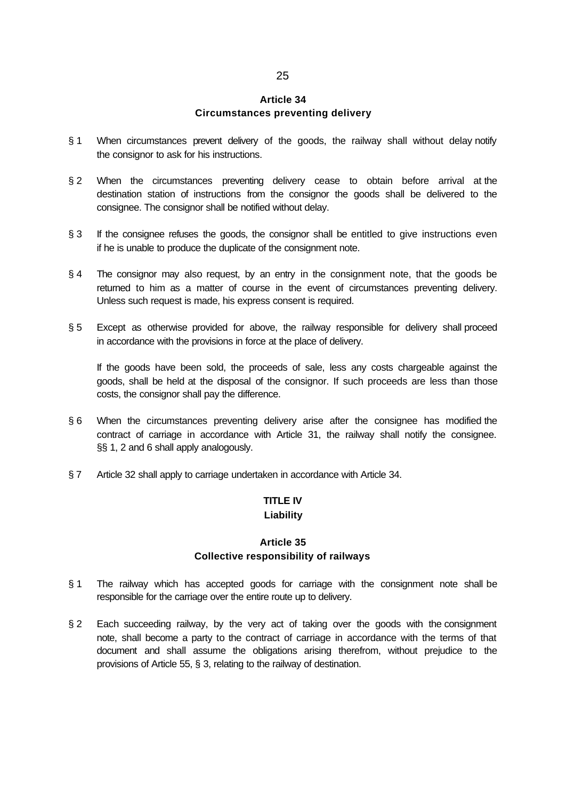# **Article 34**

# **Circumstances preventing delivery**

- <span id="page-28-0"></span>§ 1 When circumstances prevent delivery of the goods, the railway shall without delay notify the consignor to ask for his instructions.
- § 2 When the circumstances preventing delivery cease to obtain before arrival at the destination station of instructions from the consignor the goods shall be delivered to the consignee. The consignor shall be notified without delay.
- § 3 If the consignee refuses the goods, the consignor shall be entitled to give instructions even if he is unable to produce the duplicate of the consignment note.
- § 4 The consignor may also request, by an entry in the consignment note, that the goods be returned to him as a matter of course in the event of circumstances preventing delivery. Unless such request is made, his express consent is required.
- § 5 Except as otherwise provided for above, the railway responsible for delivery shall proceed in accordance with the provisions in force at the place of delivery.

If the goods have been sold, the proceeds of sale, less any costs chargeable against the goods, shall be held at the disposal of the consignor. If such proceeds are less than those costs, the consignor shall pay the difference.

- § 6 When the circumstances preventing delivery arise after the consignee has modified the contract of carriage in accordance with Article 31, the railway shall notify the consignee. §§ 1, 2 and 6 shall apply analogously.
- § 7 Article 32 shall apply to carriage undertaken in accordance with Article 34.

# **TITLE IV**

#### **Liability**

# **Article 35 Collective responsibility of railways**

- § 1 The railway which has accepted goods for carriage with the consignment note shall be responsible for the carriage over the entire route up to delivery.
- § 2 Each succeeding railway, by the very act of taking over the goods with the consignment note, shall become a party to the contract of carriage in accordance with the terms of that document and shall assume the obligations arising therefrom, without prejudice to the provisions of Article 55, § 3, relating to the railway of destination.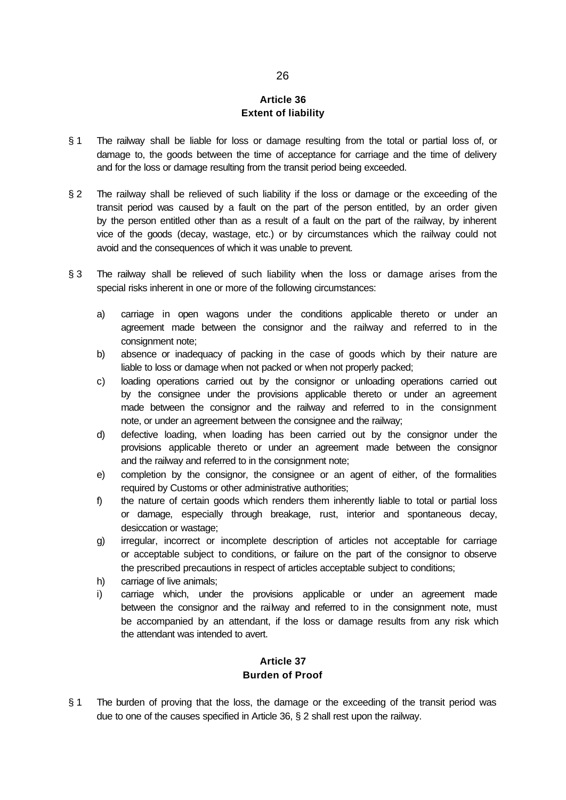#### **Article 36 Extent of liability**

- <span id="page-29-0"></span>§ 1 The railway shall be liable for loss or damage resulting from the total or partial loss of, or damage to, the goods between the time of acceptance for carriage and the time of delivery and for the loss or damage resulting from the transit period being exceeded.
- § 2 The railway shall be relieved of such liability if the loss or damage or the exceeding of the transit period was caused by a fault on the part of the person entitled, by an order given by the person entitled other than as a result of a fault on the part of the railway, by inherent vice of the goods (decay, wastage, etc.) or by circumstances which the railway could not avoid and the consequences of which it was unable to prevent.
- § 3 The railway shall be relieved of such liability when the loss or damage arises from the special risks inherent in one or more of the following circumstances:
	- a) carriage in open wagons under the conditions applicable thereto or under an agreement made between the consignor and the railway and referred to in the consignment note;
	- b) absence or inadequacy of packing in the case of goods which by their nature are liable to loss or damage when not packed or when not properly packed;
	- c) loading operations carried out by the consignor or unloading operations carried out by the consignee under the provisions applicable thereto or under an agreement made between the consignor and the railway and referred to in the consignment note, or under an agreement between the consignee and the railway;
	- d) defective loading, when loading has been carried out by the consignor under the provisions applicable thereto or under an agreement made between the consignor and the railway and referred to in the consignment note;
	- e) completion by the consignor, the consignee or an agent of either, of the formalities required by Customs or other administrative authorities;
	- f) the nature of certain goods which renders them inherently liable to total or partial loss or damage, especially through breakage, rust, interior and spontaneous decay, desiccation or wastage;
	- g) irregular, incorrect or incomplete description of articles not acceptable for carriage or acceptable subject to conditions, or failure on the part of the consignor to observe the prescribed precautions in respect of articles acceptable subject to conditions;
	- h) carriage of live animals;
	- i) carriage which, under the provisions applicable or under an agreement made between the consignor and the railway and referred to in the consignment note, must be accompanied by an attendant, if the loss or damage results from any risk which the attendant was intended to avert.

# **Article 37 Burden of Proof**

§ 1 The burden of proving that the loss, the damage or the exceeding of the transit period was due to one of the causes specified in Article 36, § 2 shall rest upon the railway.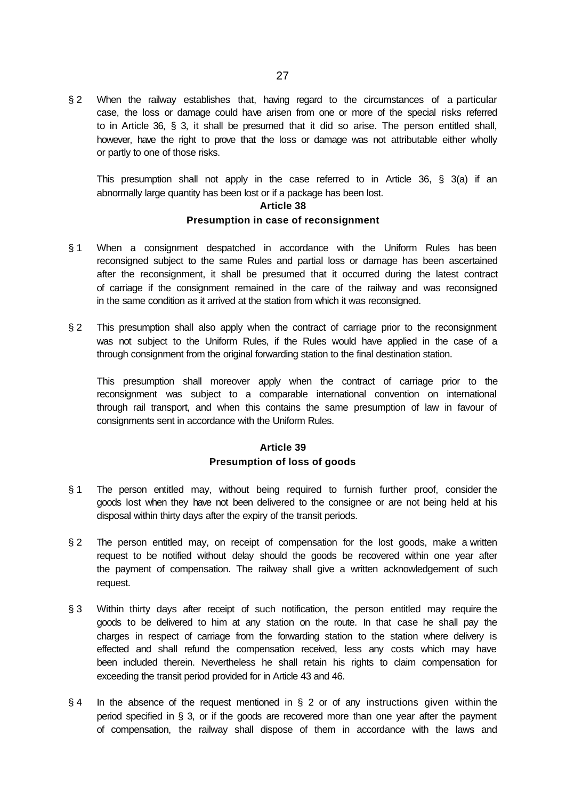<span id="page-30-0"></span>§ 2 When the railway establishes that, having regard to the circumstances of a particular case, the loss or damage could have arisen from one or more of the special risks referred to in Article 36, § 3, it shall be presumed that it did so arise. The person entitled shall, however, have the right to prove that the loss or damage was not attributable either wholly or partly to one of those risks.

This presumption shall not apply in the case referred to in Article 36, § 3(a) if an abnormally large quantity has been lost or if a package has been lost.

#### **Article 38 Presumption in case of reconsignment**

- § 1 When a consignment despatched in accordance with the Uniform Rules has been reconsigned subject to the same Rules and partial loss or damage has been ascertained after the reconsignment, it shall be presumed that it occurred during the latest contract of carriage if the consignment remained in the care of the railway and was reconsigned in the same condition as it arrived at the station from which it was reconsigned.
- § 2 This presumption shall also apply when the contract of carriage prior to the reconsignment was not subject to the Uniform Rules, if the Rules would have applied in the case of a through consignment from the original forwarding station to the final destination station.

This presumption shall moreover apply when the contract of carriage prior to the reconsignment was subject to a comparable international convention on international through rail transport, and when this contains the same presumption of law in favour of consignments sent in accordance with the Uniform Rules.

# **Article 39 Presumption of loss of goods**

- § 1 The person entitled may, without being required to furnish further proof, consider the goods lost when they have not been delivered to the consignee or are not being held at his disposal within thirty days after the expiry of the transit periods.
- § 2 The person entitled may, on receipt of compensation for the lost goods, make a written request to be notified without delay should the goods be recovered within one year after the payment of compensation. The railway shall give a written acknowledgement of such request.
- § 3 Within thirty days after receipt of such notification, the person entitled may require the goods to be delivered to him at any station on the route. In that case he shall pay the charges in respect of carriage from the forwarding station to the station where delivery is effected and shall refund the compensation received, less any costs which may have been included therein. Nevertheless he shall retain his rights to claim compensation for exceeding the transit period provided for in Article 43 and 46.
- § 4 In the absence of the request mentioned in § 2 or of any instructions given within the period specified in § 3, or if the goods are recovered more than one year after the payment of compensation, the railway shall dispose of them in accordance with the laws and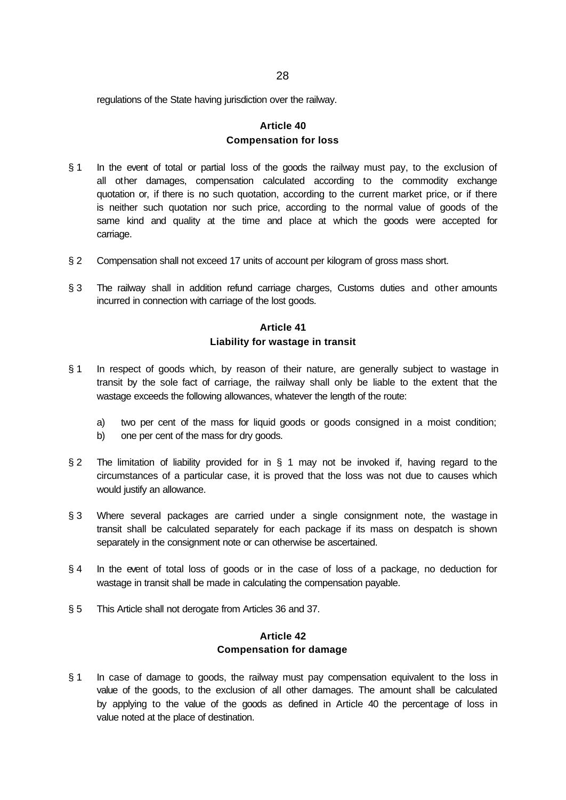# **Article 40 Compensation for loss**

- <span id="page-31-0"></span>§ 1 In the event of total or partial loss of the goods the railway must pay, to the exclusion of all other damages, compensation calculated according to the commodity exchange quotation or, if there is no such quotation, according to the current market price, or if there is neither such quotation nor such price, according to the normal value of goods of the same kind and quality at the time and place at which the goods were accepted for carriage.
- § 2 Compensation shall not exceed 17 units of account per kilogram of gross mass short.
- § 3 The railway shall in addition refund carriage charges, Customs duties and other amounts incurred in connection with carriage of the lost goods.

### **Article 41 Liability for wastage in transit**

- § 1 In respect of goods which, by reason of their nature, are generally subject to wastage in transit by the sole fact of carriage, the railway shall only be liable to the extent that the wastage exceeds the following allowances, whatever the length of the route:
	- a) two per cent of the mass for liquid goods or goods consigned in a moist condition;
	- b) one per cent of the mass for dry goods.
- § 2 The limitation of liability provided for in § 1 may not be invoked if, having regard to the circumstances of a particular case, it is proved that the loss was not due to causes which would justify an allowance.
- § 3 Where several packages are carried under a single consignment note, the wastage in transit shall be calculated separately for each package if its mass on despatch is shown separately in the consignment note or can otherwise be ascertained.
- § 4 In the event of total loss of goods or in the case of loss of a package, no deduction for wastage in transit shall be made in calculating the compensation payable.
- § 5 This Article shall not derogate from Articles 36 and 37.

# **Article 42 Compensation for damage**

§ 1 In case of damage to goods, the railway must pay compensation equivalent to the loss in value of the goods, to the exclusion of all other damages. The amount shall be calculated by applying to the value of the goods as defined in Article 40 the percentage of loss in value noted at the place of destination.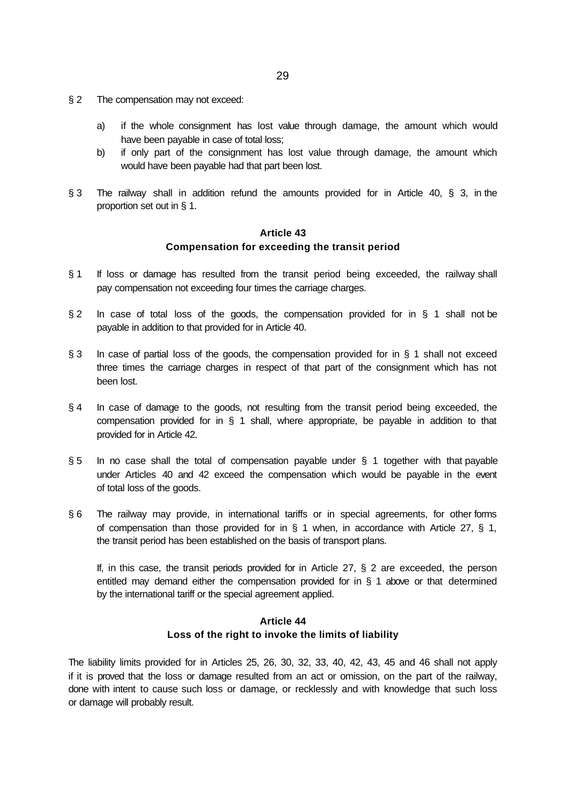- <span id="page-32-0"></span>§ 2 The compensation may not exceed:
	- a) if the whole consignment has lost value through damage, the amount which would have been payable in case of total loss;
	- b) if only part of the consignment has lost value through damage, the amount which would have been payable had that part been lost.
- § 3 The railway shall in addition refund the amounts provided for in Article 40, § 3, in the proportion set out in § 1.

#### **Article 43 Compensation for exceeding the transit period**

- § 1 If loss or damage has resulted from the transit period being exceeded, the railway shall pay compensation not exceeding four times the carriage charges.
- § 2 In case of total loss of the goods, the compensation provided for in § 1 shall not be payable in addition to that provided for in Article 40.
- § 3 In case of partial loss of the goods, the compensation provided for in § 1 shall not exceed three times the carriage charges in respect of that part of the consignment which has not been lost.
- § 4 In case of damage to the goods, not resulting from the transit period being exceeded, the compensation provided for in § 1 shall, where appropriate, be payable in addition to that provided for in Article 42.
- § 5 In no case shall the total of compensation payable under § 1 together with that payable under Articles 40 and 42 exceed the compensation which would be payable in the event of total loss of the goods.
- § 6 The railway may provide, in international tariffs or in special agreements, for other forms of compensation than those provided for in § 1 when, in accordance with Article 27, § 1, the transit period has been established on the basis of transport plans.

If, in this case, the transit periods provided for in Article 27,  $\S$  2 are exceeded, the person entitled may demand either the compensation provided for in § 1 above or that determined by the international tariff or the special agreement applied.

#### **Article 44 Loss of the right to invoke the limits of liability**

The liability limits provided for in Articles 25, 26, 30, 32, 33, 40, 42, 43, 45 and 46 shall not apply if it is proved that the loss or damage resulted from an act or omission, on the part of the railway, done with intent to cause such loss or damage, or recklessly and with knowledge that such loss or damage will probably result.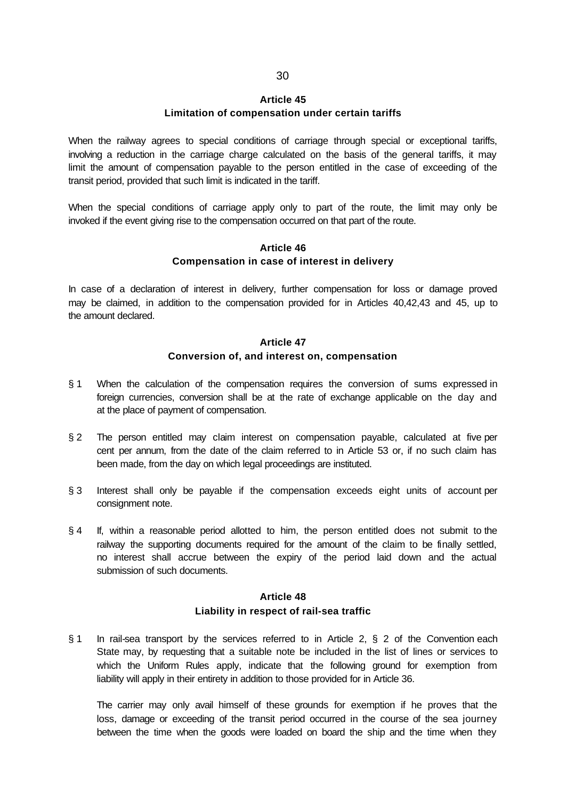# **Article 45 Limitation of compensation under certain tariffs**

<span id="page-33-0"></span>When the railway agrees to special conditions of carriage through special or exceptional tariffs, involving a reduction in the carriage charge calculated on the basis of the general tariffs, it may limit the amount of compensation payable to the person entitled in the case of exceeding of the transit period, provided that such limit is indicated in the tariff.

When the special conditions of carriage apply only to part of the route, the limit may only be invoked if the event giving rise to the compensation occurred on that part of the route.

#### **Article 46 Compensation in case of interest in delivery**

In case of a declaration of interest in delivery, further compensation for loss or damage proved may be claimed, in addition to the compensation provided for in Articles 40,42,43 and 45, up to the amount declared.

#### **Article 47 Conversion of, and interest on, compensation**

- § 1 When the calculation of the compensation requires the conversion of sums expressed in foreign currencies, conversion shall be at the rate of exchange applicable on the day and at the place of payment of compensation.
- § 2 The person entitled may claim interest on compensation payable, calculated at five per cent per annum, from the date of the claim referred to in Article 53 or, if no such claim has been made, from the day on which legal proceedings are instituted.
- § 3 Interest shall only be payable if the compensation exceeds eight units of account per consignment note.
- § 4 If, within a reasonable period allotted to him, the person entitled does not submit to the railway the supporting documents required for the amount of the claim to be finally settled, no interest shall accrue between the expiry of the period laid down and the actual submission of such documents.

# **Article 48 Liability in respect of rail-sea traffic**

§ 1 In rail-sea transport by the services referred to in Article 2, § 2 of the Convention each State may, by requesting that a suitable note be included in the list of lines or services to which the Uniform Rules apply, indicate that the following ground for exemption from liability will apply in their entirety in addition to those provided for in Article 36.

The carrier may only avail himself of these grounds for exemption if he proves that the loss, damage or exceeding of the transit period occurred in the course of the sea journey between the time when the goods were loaded on board the ship and the time when they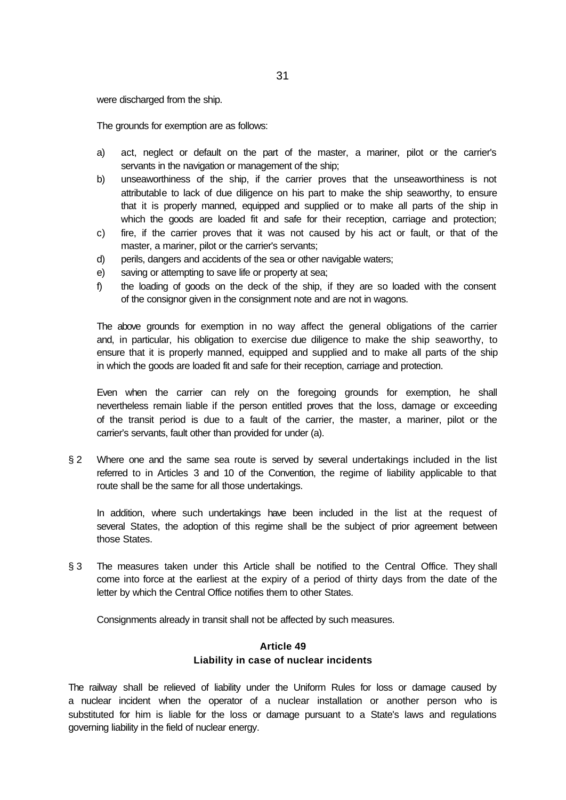<span id="page-34-0"></span>were discharged from the ship.

The grounds for exemption are as follows:

- a) act, neglect or default on the part of the master, a mariner, pilot or the carrier's servants in the navigation or management of the ship;
- b) unseaworthiness of the ship, if the carrier proves that the unseaworthiness is not attributable to lack of due diligence on his part to make the ship seaworthy, to ensure that it is properly manned, equipped and supplied or to make all parts of the ship in which the goods are loaded fit and safe for their reception, carriage and protection;
- c) fire, if the carrier proves that it was not caused by his act or fault, or that of the master, a mariner, pilot or the carrier's servants;
- d) perils, dangers and accidents of the sea or other navigable waters;
- e) saving or attempting to save life or property at sea;
- f) the loading of goods on the deck of the ship, if they are so loaded with the consent of the consignor given in the consignment note and are not in wagons.

The above grounds for exemption in no way affect the general obligations of the carrier and, in particular, his obligation to exercise due diligence to make the ship seaworthy, to ensure that it is properly manned, equipped and supplied and to make all parts of the ship in which the goods are loaded fit and safe for their reception, carriage and protection.

Even when the carrier can rely on the foregoing grounds for exemption, he shall nevertheless remain liable if the person entitled proves that the loss, damage or exceeding of the transit period is due to a fault of the carrier, the master, a mariner, pilot or the carrier's servants, fault other than provided for under (a).

§ 2 Where one and the same sea route is served by several undertakings included in the list referred to in Articles 3 and 10 of the Convention, the regime of liability applicable to that route shall be the same for all those undertakings.

In addition, where such undertakings have been included in the list at the request of several States, the adoption of this regime shall be the subject of prior agreement between those States.

§ 3 The measures taken under this Article shall be notified to the Central Office. They shall come into force at the earliest at the expiry of a period of thirty days from the date of the letter by which the Central Office notifies them to other States.

Consignments already in transit shall not be affected by such measures.

# **Article 49 Liability in case of nuclear incidents**

The railway shall be relieved of liability under the Uniform Rules for loss or damage caused by a nuclear incident when the operator of a nuclear installation or another person who is substituted for him is liable for the loss or damage pursuant to a State's laws and regulations governing liability in the field of nuclear energy.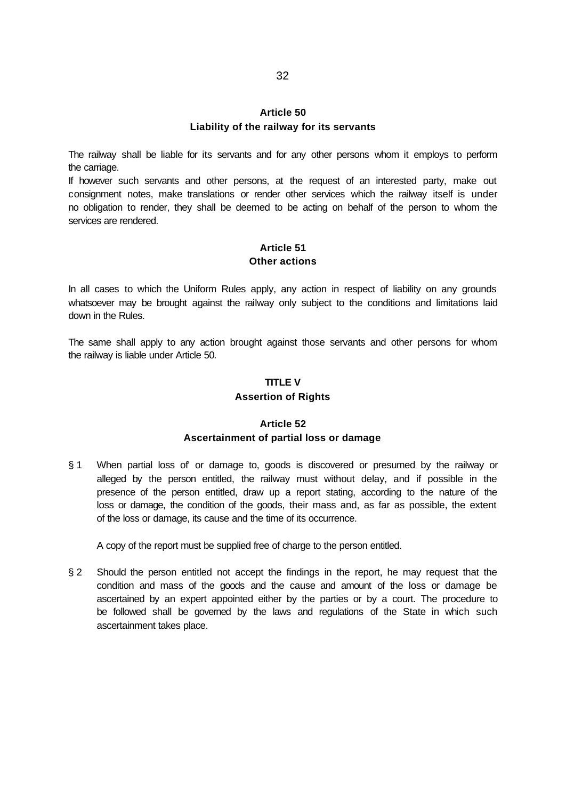### **Article 50 Liability of the railway for its servants**

<span id="page-35-0"></span>The railway shall be liable for its servants and for any other persons whom it employs to perform the carriage.

If however such servants and other persons, at the request of an interested party, make out consignment notes, make translations or render other services which the railway itself is under no obligation to render, they shall be deemed to be acting on behalf of the person to whom the services are rendered.

#### **Article 51 Other actions**

In all cases to which the Uniform Rules apply, any action in respect of liability on any grounds whatsoever may be brought against the railway only subject to the conditions and limitations laid down in the Rules.

The same shall apply to any action brought against those servants and other persons for whom the railway is liable under Article 50*.*

# **TITLE V Assertion of Rights**

# **Article 52 Ascertainment of partial loss or damage**

§ 1 When partial loss of' or damage to, goods is discovered or presumed by the railway or alleged by the person entitled, the railway must without delay, and if possible in the presence of the person entitled, draw up a report stating, according to the nature of the loss or damage, the condition of the goods, their mass and, as far as possible, the extent of the loss or damage, its cause and the time of its occurrence.

A copy of the report must be supplied free of charge to the person entitled.

§ 2 Should the person entitled not accept the findings in the report, he may request that the condition and mass of the goods and the cause and amount of the loss or damage be ascertained by an expert appointed either by the parties or by a court. The procedure to be followed shall be governed by the laws and regulations of the State in which such ascertainment takes place.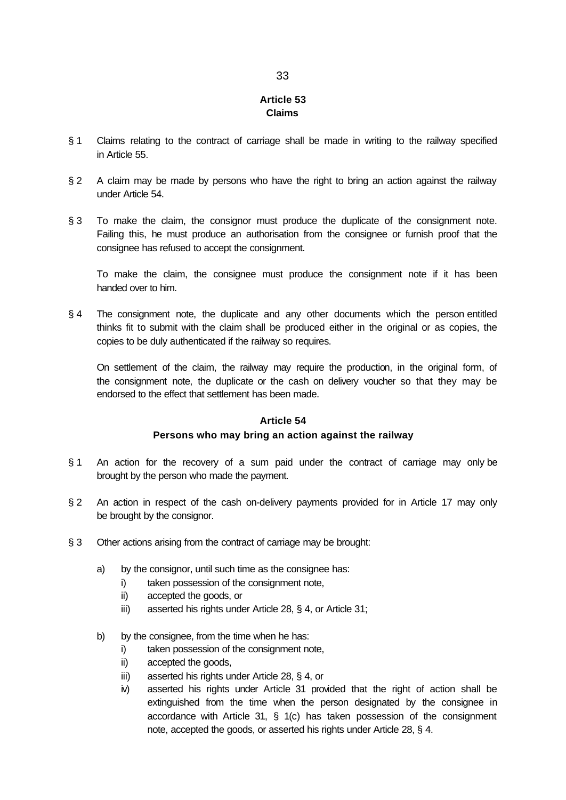#### **Article 53 Claims**

- <span id="page-36-0"></span>§ 1 Claims relating to the contract of carriage shall be made in writing to the railway specified in Article 55.
- § 2 A claim may be made by persons who have the right to bring an action against the railway under Article 54.
- § 3 To make the claim, the consignor must produce the duplicate of the consignment note. Failing this, he must produce an authorisation from the consignee or furnish proof that the consignee has refused to accept the consignment.

To make the claim, the consignee must produce the consignment note if it has been handed over to him.

§ 4 The consignment note, the duplicate and any other documents which the person entitled thinks fit to submit with the claim shall be produced either in the original or as copies, the copies to be duly authenticated if the railway so requires.

On settlement of the claim, the railway may require the production, in the original form, of the consignment note, the duplicate or the cash on delivery voucher so that they may be endorsed to the effect that settlement has been made.

#### **Article 54**

#### **Persons who may bring an action against the railway**

- § 1 An action for the recovery of a sum paid under the contract of carriage may only be brought by the person who made the payment.
- § 2 An action in respect of the cash on-delivery payments provided for in Article 17 may only be brought by the consignor.
- § 3 Other actions arising from the contract of carriage may be brought:
	- a) by the consignor, until such time as the consignee has:
		- i) taken possession of the consignment note,
		- ii) accepted the goods, or
		- iii) asserted his rights under Article 28, § 4, or Article 31;
	- b) by the consignee, from the time when he has:
		- i) taken possession of the consignment note,
		- ii) accepted the goods,
		- iii) asserted his rights under Article 28, § 4, or
		- iv) asserted his rights under Article 31 provided that the right of action shall be extinguished from the time when the person designated by the consignee in accordance with Article 31, § 1(c) has taken possession of the consignment note, accepted the goods, or asserted his rights under Article 28, § 4.

## 33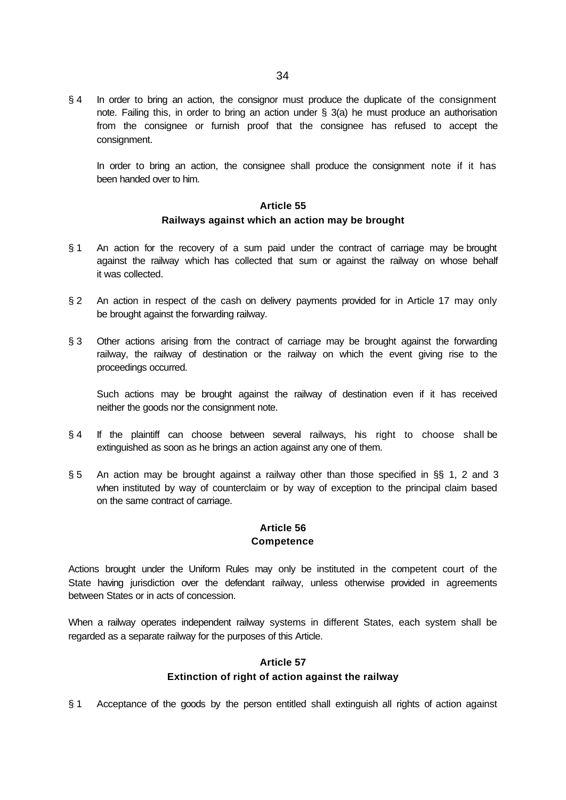<span id="page-37-0"></span>§ 4 In order to bring an action, the consignor must produce the duplicate of the consignment note. Failing this, in order to bring an action under § 3(a) he must produce an authorisation from the consignee or furnish proof that the consignee has refused to accept the consignment.

In order to bring an action, the consignee shall produce the consignment note if it has been handed over to him.

# **Article 55 Railways against which an action may be brought**

- § 1 An action for the recovery of a sum paid under the contract of carriage may be brought against the railway which has collected that sum or against the railway on whose behalf it was collected.
- § 2 An action in respect of the cash on delivery payments provided for in Article 17 may only be brought against the forwarding railway.
- § 3 Other actions arising from the contract of carriage may be brought against the forwarding railway, the railway of destination or the railway on which the event giving rise to the proceedings occurred.

Such actions may be brought against the railway of destination even if it has received neither the goods nor the consignment note.

- § 4 If the plaintiff can choose between several railways, his right to choose shall be extinguished as soon as he brings an action against any one of them.
- § 5 An action may be brought against a railway other than those specified in §§ 1, 2 and 3 when instituted by way of counterclaim or by way of exception to the principal claim based on the same contract of carriage.

#### **Article 56 Competence**

Actions brought under the Uniform Rules may only be instituted in the competent court of the State having jurisdiction over the defendant railway, unless otherwise provided in agreements between States or in acts of concession.

When a railway operates independent railway systems in different States, each system shall be regarded as a separate railway for the purposes of this Article.

# **Article 57 Extinction of right of action against the railway**

§ 1 Acceptance of the goods by the person entitled shall extinguish all rights of action against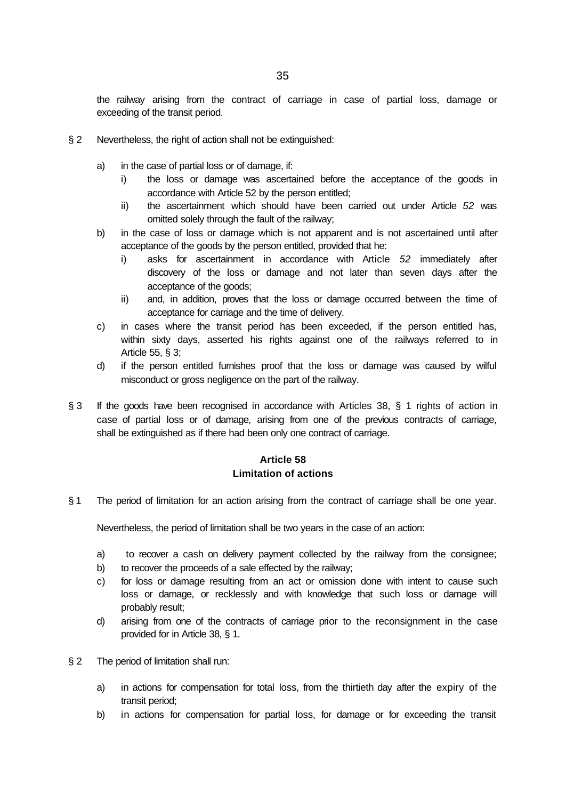<span id="page-38-0"></span>the railway arising from the contract of carriage in case of partial loss, damage or exceeding of the transit period.

- § 2 Nevertheless, the right of action shall not be extinguished:
	- a) in the case of partial loss or of damage, if:
		- i) the loss or damage was ascertained before the acceptance of the goods in accordance with Article 52 by the person entitled;
		- ii) the ascertainment which should have been carried out under Article *52* was omitted solely through the fault of the railway;
	- b) in the case of loss or damage which is not apparent and is not ascertained until after acceptance of the goods by the person entitled, provided that he:
		- i) asks for ascertainment in accordance with Article *52* immediately after discovery of the loss or damage and not later than seven days after the acceptance of the goods;
		- ii) and, in addition, proves that the loss or damage occurred between the time of acceptance for carriage and the time of delivery.
	- c) in cases where the transit period has been exceeded, if the person entitled has, within sixty days, asserted his rights against one of the railways referred to in Article 55, § 3;
	- d) if the person entitled furnishes proof that the loss or damage was caused by wilful misconduct or gross negligence on the part of the railway.
- § 3 If the goods have been recognised in accordance with Articles 38, § 1 rights of action in case of partial loss or of damage, arising from one of the previous contracts of carriage, shall be extinguished as if there had been only one contract of carriage.

#### **Article 58 Limitation of actions**

§ 1 The period of limitation for an action arising from the contract of carriage shall be one year.

Nevertheless, the period of limitation shall be two years in the case of an action:

- a) to recover a cash on delivery payment collected by the railway from the consignee;
- b) to recover the proceeds of a sale effected by the railway;
- c) for loss or damage resulting from an act or omission done with intent to cause such loss or damage, or recklessly and with knowledge that such loss or damage will probably result;
- d) arising from one of the contracts of carriage prior to the reconsignment in the case provided for in Article 38, § 1.
- § 2 The period of limitation shall run:
	- a) in actions for compensation for total loss, from the thirtieth day after the expiry of the transit period;
	- b) in actions for compensation for partial loss, for damage or for exceeding the transit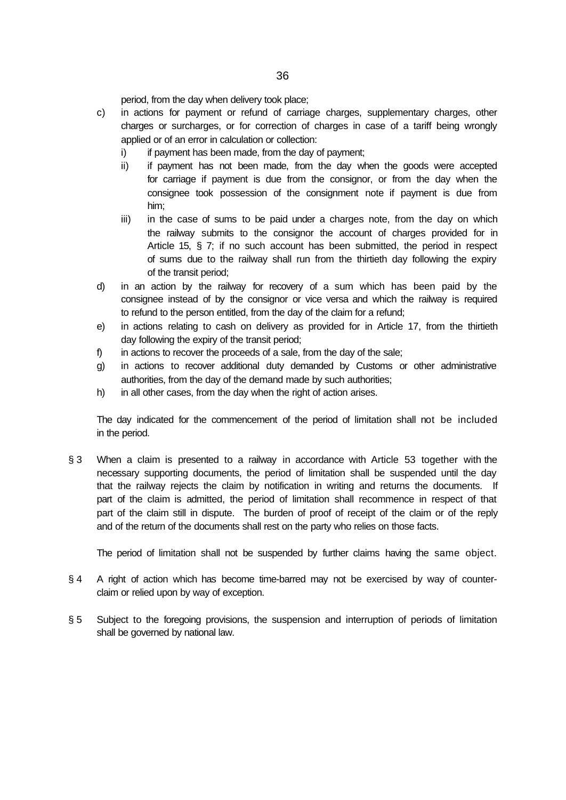period, from the day when delivery took place;

- c) in actions for payment or refund of carriage charges, supplementary charges, other charges or surcharges, or for correction of charges in case of a tariff being wrongly applied or of an error in calculation or collection:
	- i) if payment has been made, from the day of payment;
	- ii) if payment has not been made, from the day when the goods were accepted for carriage if payment is due from the consignor, or from the day when the consignee took possession of the consignment note if payment is due from him;
	- iii) in the case of sums to be paid under a charges note, from the day on which the railway submits to the consignor the account of charges provided for in Article 15, § 7; if no such account has been submitted, the period in respect of sums due to the railway shall run from the thirtieth day following the expiry of the transit period;
- d) in an action by the railway for recovery of a sum which has been paid by the consignee instead of by the consignor or vice versa and which the railway is required to refund to the person entitled, from the day of the claim for a refund;
- e) in actions relating to cash on delivery as provided for in Article 17, from the thirtieth day following the expiry of the transit period;
- f) in actions to recover the proceeds of a sale, from the day of the sale;
- g) in actions to recover additional duty demanded by Customs or other administrative authorities, from the day of the demand made by such authorities;
- h) in all other cases, from the day when the right of action arises.

The day indicated for the commencement of the period of limitation shall not be included in the period.

§ 3 When a claim is presented to a railway in accordance with Article 53 together with the necessary supporting documents, the period of limitation shall be suspended until the day that the railway rejects the claim by notification in writing and returns the documents. If part of the claim is admitted, the period of limitation shall recommence in respect of that part of the claim still in dispute. The burden of proof of receipt of the claim or of the reply and of the return of the documents shall rest on the party who relies on those facts.

The period of limitation shall not be suspended by further claims having the same object.

- § 4 A right of action which has become time-barred may not be exercised by way of counterclaim or relied upon by way of exception.
- § 5 Subject to the foregoing provisions, the suspension and interruption of periods of limitation shall be governed by national law.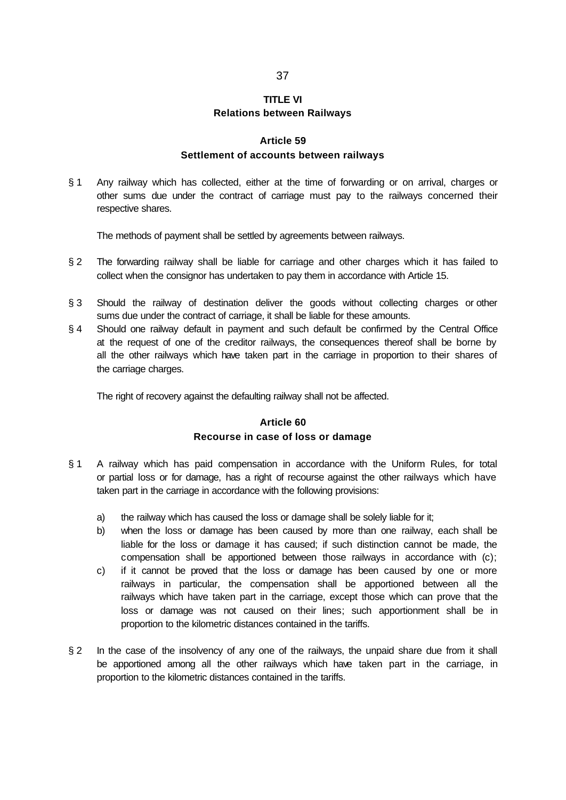#### **TITLE VI Relations between Railways**

#### **Article 59**

#### **Settlement of accounts between railways**

<span id="page-40-0"></span>§ 1 Any railway which has collected, either at the time of forwarding or on arrival, charges or other sums due under the contract of carriage must pay to the railways concerned their respective shares.

The methods of payment shall be settled by agreements between railways.

- § 2 The forwarding railway shall be liable for carriage and other charges which it has failed to collect when the consignor has undertaken to pay them in accordance with Article 15.
- § 3 Should the railway of destination deliver the goods without collecting charges or other sums due under the contract of carriage, it shall be liable for these amounts.
- § 4 Should one railway default in payment and such default be confirmed by the Central Office at the request of one of the creditor railways, the consequences thereof shall be borne by all the other railways which have taken part in the carriage in proportion to their shares of the carriage charges.

The right of recovery against the defaulting railway shall not be affected.

#### **Article 60 Recourse in case of loss or damage**

- § 1 A railway which has paid compensation in accordance with the Uniform Rules, for total or partial loss or for damage, has a right of recourse against the other railways which have taken part in the carriage in accordance with the following provisions:
	- a) the railway which has caused the loss or damage shall be solely liable for it;
	- b) when the loss or damage has been caused by more than one railway, each shall be liable for the loss or damage it has caused; if such distinction cannot be made, the compensation shall be apportioned between those railways in accordance with (c);
	- c) if it cannot be proved that the loss or damage has been caused by one or more railways in particular, the compensation shall be apportioned between all the railways which have taken part in the carriage, except those which can prove that the loss or damage was not caused on their lines; such apportionment shall be in proportion to the kilometric distances contained in the tariffs.
- § 2 In the case of the insolvency of any one of the railways, the unpaid share due from it shall be apportioned among all the other railways which have taken part in the carriage, in proportion to the kilometric distances contained in the tariffs.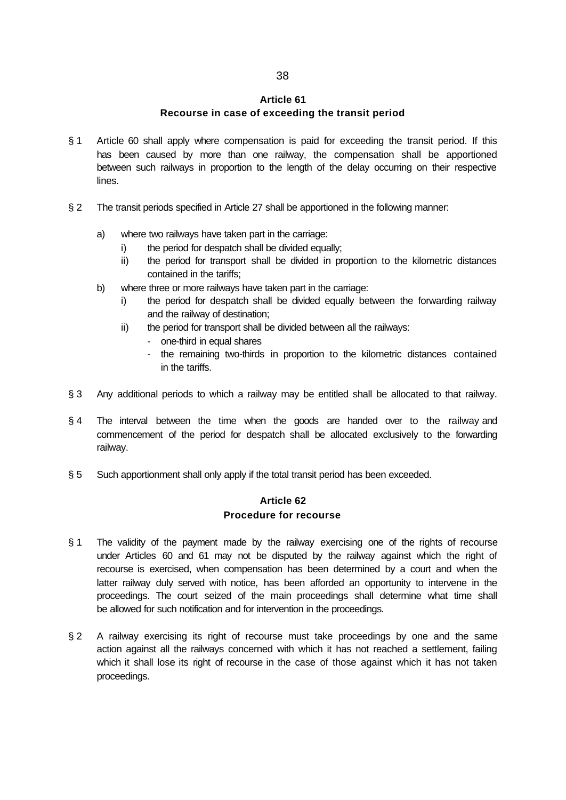# 38

#### **Article 61 Recourse in case of exceeding the transit period**

- <span id="page-41-0"></span>§ 1 Article 60 shall apply where compensation is paid for exceeding the transit period. If this has been caused by more than one railway, the compensation shall be apportioned between such railways in proportion to the length of the delay occurring on their respective lines.
- § 2 The transit periods specified in Article 27 shall be apportioned in the following manner:
	- a) where two railways have taken part in the carriage:
		- i) the period for despatch shall be divided equally;
		- ii) the period for transport shall be divided in proportion to the kilometric distances contained in the tariffs;
	- b) where three or more railways have taken part in the carriage:
		- i) the period for despatch shall be divided equally between the forwarding railway and the railway of destination;
		- ii) the period for transport shall be divided between all the railways:
			- one-third in equal shares
			- the remaining two-thirds in proportion to the kilometric distances contained in the tariffs.
- § 3 Any additional periods to which a railway may be entitled shall be allocated to that railway.
- § 4 The interval between the time when the goods are handed over to the railway and commencement of the period for despatch shall be allocated exclusively to the forwarding railway.
- § 5 Such apportionment shall only apply if the total transit period has been exceeded.

#### **Article 62 Procedure for recourse**

- § 1 The validity of the payment made by the railway exercising one of the rights of recourse under Articles 60 and 61 may not be disputed by the railway against which the right of recourse is exercised, when compensation has been determined by a court and when the latter railway duly served with notice, has been afforded an opportunity to intervene in the proceedings. The court seized of the main proceedings shall determine what time shall be allowed for such notification and for intervention in the proceedings.
- § 2 A railway exercising its right of recourse must take proceedings by one and the same action against all the railways concerned with which it has not reached a settlement, failing which it shall lose its right of recourse in the case of those against which it has not taken proceedings.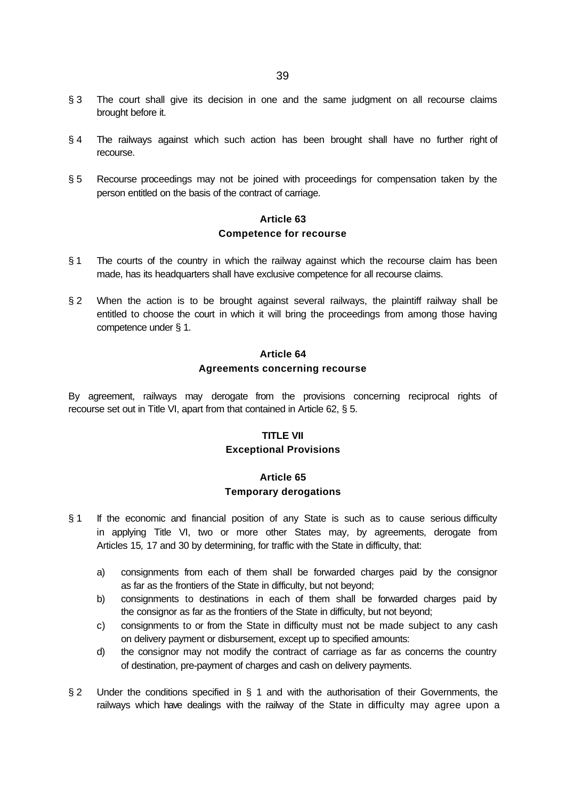- <span id="page-42-0"></span>§ 3 The court shall give its decision in one and the same judgment on all recourse claims brought before it.
- § 4 The railways against which such action has been brought shall have no further right of recourse.
- § 5 Recourse proceedings may not be joined with proceedings for compensation taken by the person entitled on the basis of the contract of carriage.

#### **Article 63 Competence for recourse**

- § 1 The courts of the country in which the railway against which the recourse claim has been made, has its headquarters shall have exclusive competence for all recourse claims.
- § 2 When the action is to be brought against several railways, the plaintiff railway shall be entitled to choose the court in which it will bring the proceedings from among those having competence under § 1.

#### **Article 64 Agreements concerning recourse**

By agreement, railways may derogate from the provisions concerning reciprocal rights of recourse set out in Title VI, apart from that contained in Article 62, § 5.

#### **TITLE VII Exceptional Provisions**

#### **Article 65 Temporary derogations**

- § 1 If the economic and financial position of any State is such as to cause serious difficulty in applying Title VI, two or more other States may, by agreements, derogate from Articles 15*,* 17 and 30 by determining, for traffic with the State in difficulty, that:
	- a) consignments from each of them shall be forwarded charges paid by the consignor as far as the frontiers of the State in difficulty, but not beyond;
	- b) consignments to destinations in each of them shall be forwarded charges paid by the consignor as far as the frontiers of the State in difficulty, but not beyond;
	- c) consignments to or from the State in difficulty must not be made subject to any cash on delivery payment or disbursement, except up to specified amounts:
	- d) the consignor may not modify the contract of carriage as far as concerns the country of destination, pre-payment of charges and cash on delivery payments.
- § 2 Under the conditions specified in § 1 and with the authorisation of their Governments, the railways which have dealings with the railway of the State in difficulty may agree upon a